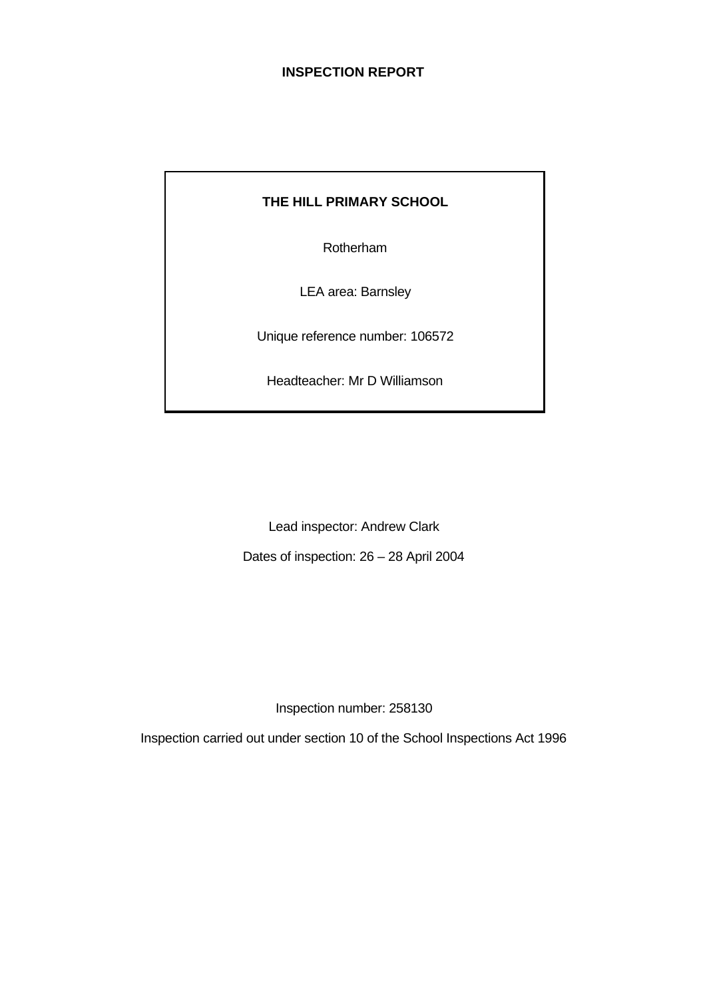# **INSPECTION REPORT**

# **THE HILL PRIMARY SCHOOL**

Rotherham

LEA area: Barnsley

Unique reference number: 106572

Headteacher: Mr D Williamson

Lead inspector: Andrew Clark

Dates of inspection: 26 – 28 April 2004

Inspection number: 258130

Inspection carried out under section 10 of the School Inspections Act 1996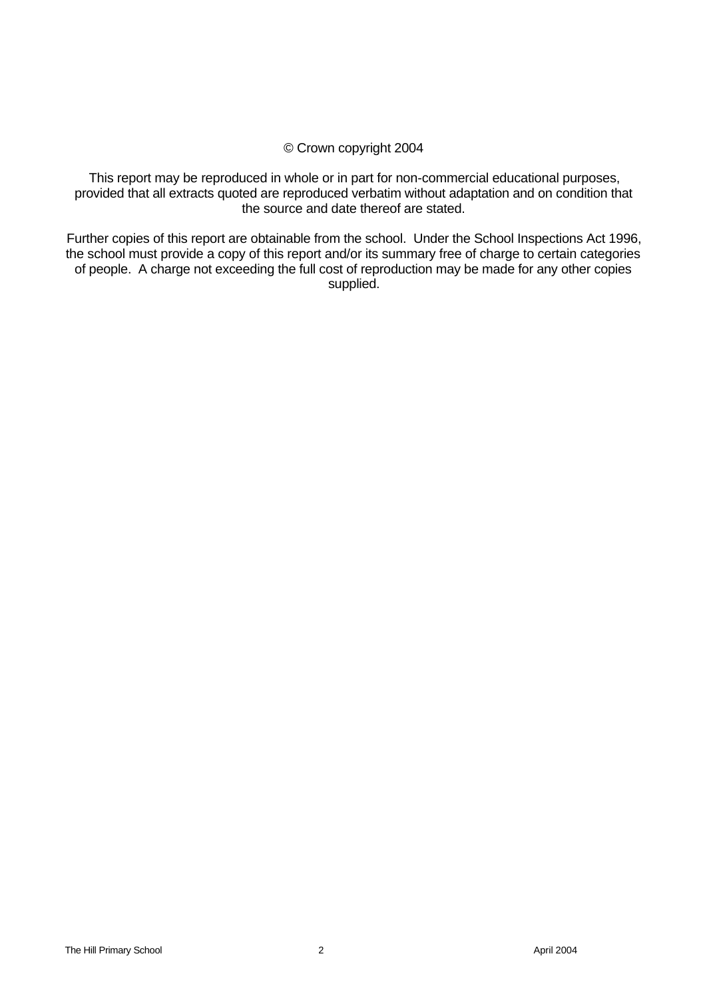## © Crown copyright 2004

This report may be reproduced in whole or in part for non-commercial educational purposes, provided that all extracts quoted are reproduced verbatim without adaptation and on condition that the source and date thereof are stated.

Further copies of this report are obtainable from the school. Under the School Inspections Act 1996, the school must provide a copy of this report and/or its summary free of charge to certain categories of people. A charge not exceeding the full cost of reproduction may be made for any other copies supplied.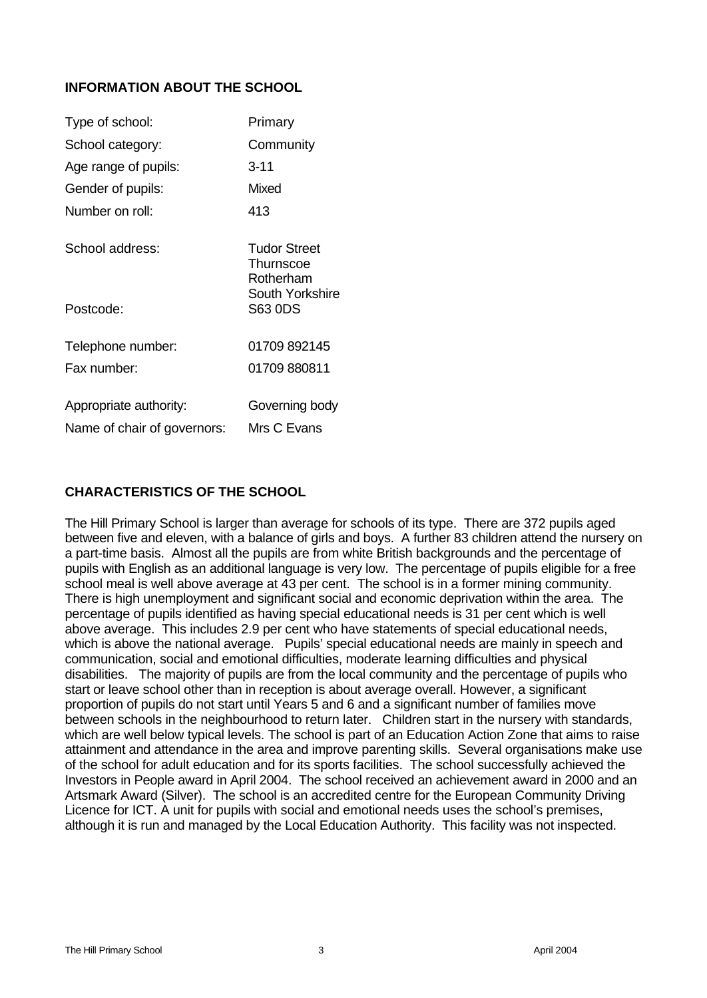## **INFORMATION ABOUT THE SCHOOL**

| Type of school:             | Primary                                |
|-----------------------------|----------------------------------------|
| School category:            | Community                              |
| Age range of pupils:        | $3 - 11$                               |
| Gender of pupils:           | Mixed                                  |
| Number on roll:             | 413                                    |
| School address:             | Tudor Street<br>Thurnscoe<br>Rotherham |
| Postcode:                   | South Yorkshire<br>S63 0DS             |
| Telephone number:           | 01709 892145                           |
| Fax number:                 | 01709 880811                           |
| Appropriate authority:      | Governing body                         |
| Name of chair of governors: | Mrs C Evans                            |

## **CHARACTERISTICS OF THE SCHOOL**

The Hill Primary School is larger than average for schools of its type. There are 372 pupils aged between five and eleven, with a balance of girls and boys. A further 83 children attend the nursery on a part-time basis. Almost all the pupils are from white British backgrounds and the percentage of pupils with English as an additional language is very low. The percentage of pupils eligible for a free school meal is well above average at 43 per cent. The school is in a former mining community. There is high unemployment and significant social and economic deprivation within the area. The percentage of pupils identified as having special educational needs is 31 per cent which is well above average. This includes 2.9 per cent who have statements of special educational needs, which is above the national average. Pupils' special educational needs are mainly in speech and communication, social and emotional difficulties, moderate learning difficulties and physical disabilities. The majority of pupils are from the local community and the percentage of pupils who start or leave school other than in reception is about average overall. However, a significant proportion of pupils do not start until Years 5 and 6 and a significant number of families move between schools in the neighbourhood to return later. Children start in the nursery with standards, which are well below typical levels. The school is part of an Education Action Zone that aims to raise attainment and attendance in the area and improve parenting skills. Several organisations make use of the school for adult education and for its sports facilities. The school successfully achieved the Investors in People award in April 2004. The school received an achievement award in 2000 and an Artsmark Award (Silver). The school is an accredited centre for the European Community Driving Licence for ICT. A unit for pupils with social and emotional needs uses the school's premises, although it is run and managed by the Local Education Authority. This facility was not inspected.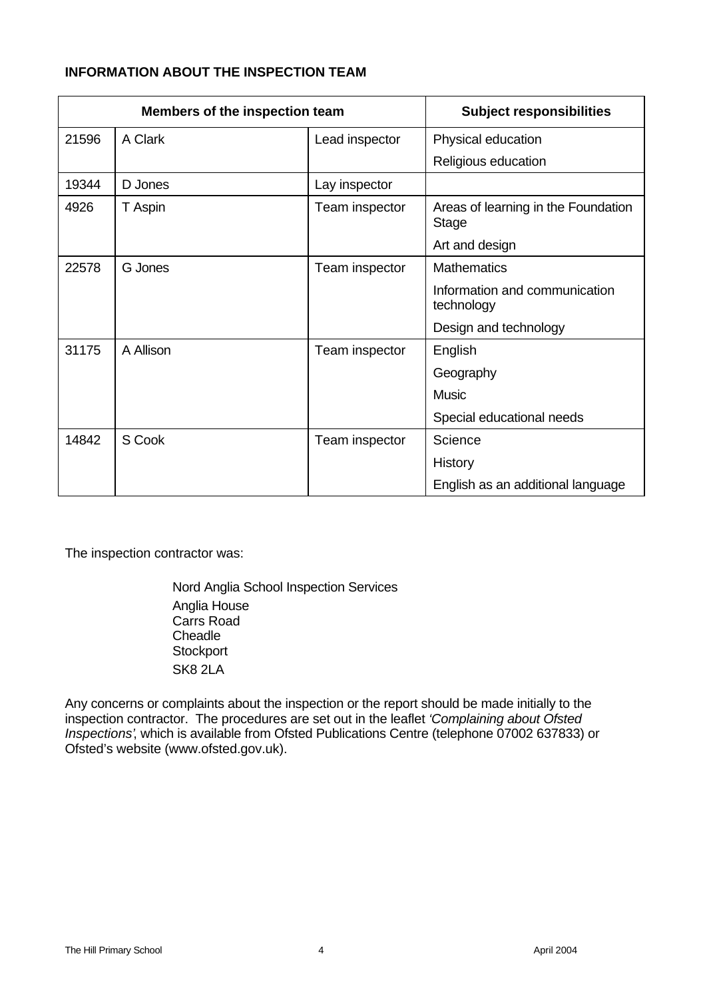# **INFORMATION ABOUT THE INSPECTION TEAM**

| Members of the inspection team |           | <b>Subject responsibilities</b> |                                              |
|--------------------------------|-----------|---------------------------------|----------------------------------------------|
| 21596                          | A Clark   | Lead inspector                  | Physical education                           |
|                                |           |                                 | Religious education                          |
| 19344                          | D Jones   | Lay inspector                   |                                              |
| 4926                           | T Aspin   | Team inspector                  | Areas of learning in the Foundation<br>Stage |
|                                |           |                                 | Art and design                               |
| 22578                          | G Jones   | Team inspector                  | <b>Mathematics</b>                           |
|                                |           |                                 | Information and communication<br>technology  |
|                                |           |                                 | Design and technology                        |
| 31175                          | A Allison | Team inspector                  | English                                      |
|                                |           |                                 | Geography                                    |
|                                |           |                                 | Music                                        |
|                                |           |                                 | Special educational needs                    |
| 14842                          | S Cook    | Team inspector                  | Science                                      |
|                                |           |                                 | History                                      |
|                                |           |                                 | English as an additional language            |

The inspection contractor was:

Nord Anglia School Inspection Services Anglia House Carrs Road **Cheadle Stockport** SK8 2LA

Any concerns or complaints about the inspection or the report should be made initially to the inspection contractor. The procedures are set out in the leaflet *'Complaining about Ofsted Inspections'*, which is available from Ofsted Publications Centre (telephone 07002 637833) or Ofsted's website (www.ofsted.gov.uk).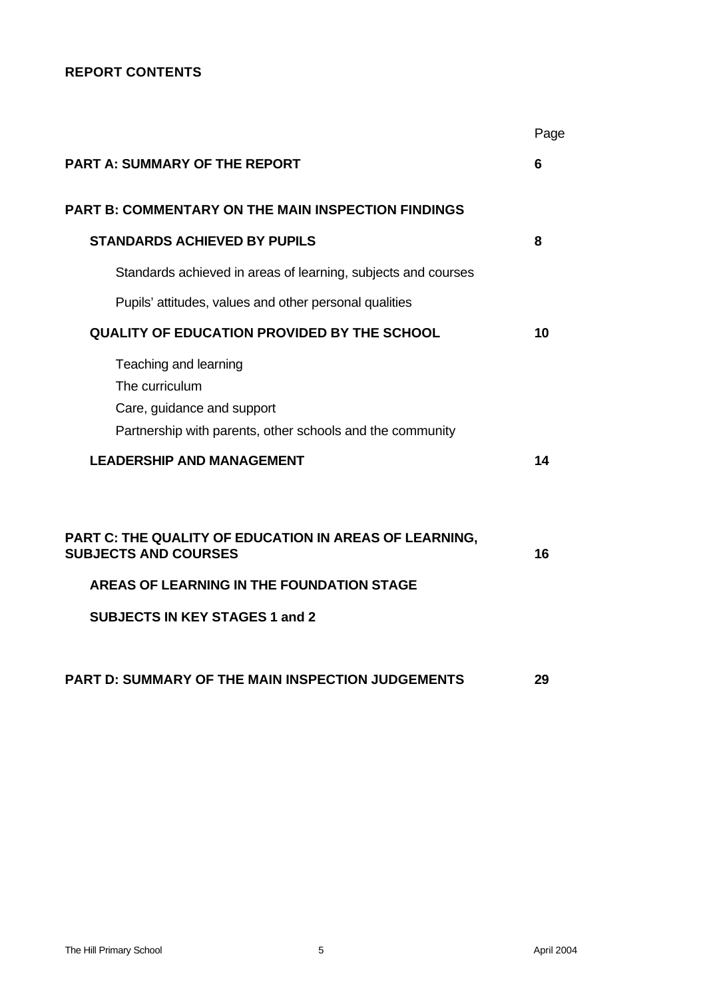## **REPORT CONTENTS**

|                                                                                                                                                                                    | Page |
|------------------------------------------------------------------------------------------------------------------------------------------------------------------------------------|------|
| <b>PART A: SUMMARY OF THE REPORT</b>                                                                                                                                               | 6    |
| <b>PART B: COMMENTARY ON THE MAIN INSPECTION FINDINGS</b>                                                                                                                          |      |
| <b>STANDARDS ACHIEVED BY PUPILS</b>                                                                                                                                                | 8    |
| Standards achieved in areas of learning, subjects and courses                                                                                                                      |      |
| Pupils' attitudes, values and other personal qualities                                                                                                                             |      |
| <b>QUALITY OF EDUCATION PROVIDED BY THE SCHOOL</b>                                                                                                                                 | 10   |
| Teaching and learning<br>The curriculum<br>Care, guidance and support<br>Partnership with parents, other schools and the community                                                 |      |
| <b>LEADERSHIP AND MANAGEMENT</b>                                                                                                                                                   | 14   |
| PART C: THE QUALITY OF EDUCATION IN AREAS OF LEARNING,<br><b>SUBJECTS AND COURSES</b><br><b>AREAS OF LEARNING IN THE FOUNDATION STAGE</b><br><b>SUBJECTS IN KEY STAGES 1 and 2</b> | 16   |
| PART D: SUMMARY OF THE MAIN INSPECTION JUDGEMENTS                                                                                                                                  | 29   |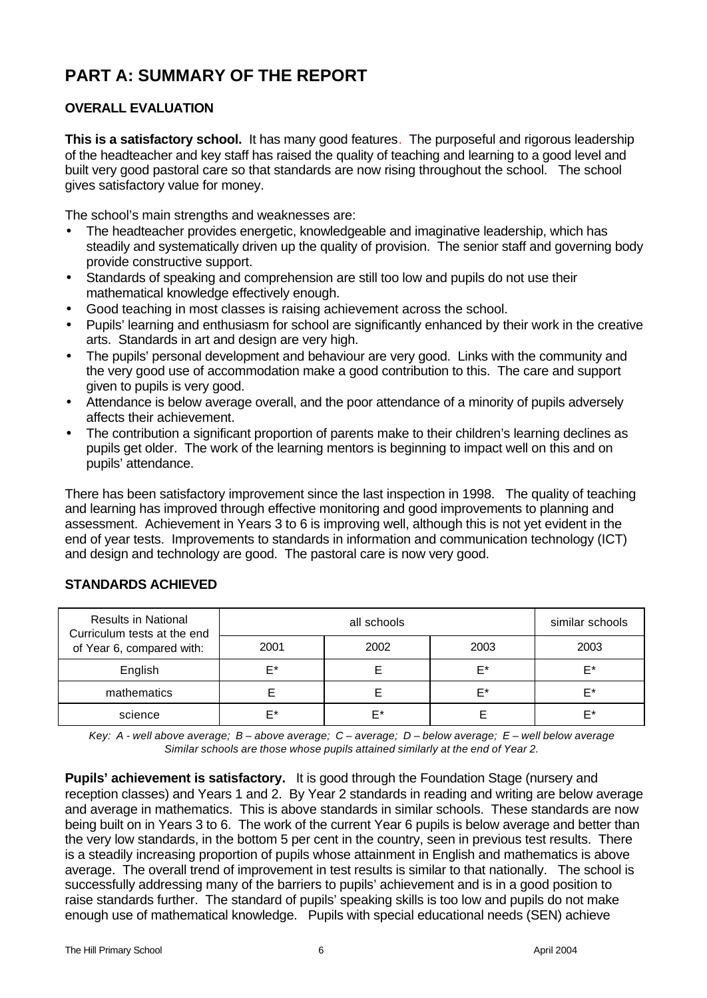# **PART A: SUMMARY OF THE REPORT**

# **OVERALL EVALUATION**

**This is a satisfactory school.** It has many good features. The purposeful and rigorous leadership of the headteacher and key staff has raised the quality of teaching and learning to a good level and built very good pastoral care so that standards are now rising throughout the school. The school gives satisfactory value for money.

The school's main strengths and weaknesses are:

- The headteacher provides energetic, knowledgeable and imaginative leadership, which has steadily and systematically driven up the quality of provision. The senior staff and governing body provide constructive support.
- Standards of speaking and comprehension are still too low and pupils do not use their mathematical knowledge effectively enough.
- Good teaching in most classes is raising achievement across the school.
- Pupils' learning and enthusiasm for school are significantly enhanced by their work in the creative arts. Standards in art and design are very high.
- The pupils' personal development and behaviour are very good. Links with the community and the very good use of accommodation make a good contribution to this. The care and support given to pupils is very good.
- Attendance is below average overall, and the poor attendance of a minority of pupils adversely affects their achievement.
- The contribution a significant proportion of parents make to their children's learning declines as pupils get older. The work of the learning mentors is beginning to impact well on this and on pupils' attendance.

There has been satisfactory improvement since the last inspection in 1998. The quality of teaching and learning has improved through effective monitoring and good improvements to planning and assessment. Achievement in Years 3 to 6 is improving well, although this is not yet evident in the end of year tests. Improvements to standards in information and communication technology (ICT) and design and technology are good. The pastoral care is now very good.

| <b>Results in National</b><br>Curriculum tests at the end |      | similar schools |      |      |
|-----------------------------------------------------------|------|-----------------|------|------|
| of Year 6, compared with:                                 | 2001 | 2002            | 2003 | 2003 |
| English                                                   | F*   |                 | F*   | F*   |
| mathematics                                               |      |                 | F*   | F*   |
| science                                                   | F*   | F*              |      | F*   |

## **STANDARDS ACHIEVED**

*Key: A - well above average; B – above average; C – average; D – below average; E – well below average Similar schools are those whose pupils attained similarly at the end of Year 2.*

**Pupils' achievement is satisfactory.** It is good through the Foundation Stage (nursery and reception classes) and Years 1 and 2. By Year 2 standards in reading and writing are below average and average in mathematics. This is above standards in similar schools. These standards are now being built on in Years 3 to 6. The work of the current Year 6 pupils is below average and better than the very low standards, in the bottom 5 per cent in the country, seen in previous test results. There is a steadily increasing proportion of pupils whose attainment in English and mathematics is above average. The overall trend of improvement in test results is similar to that nationally. The school is successfully addressing many of the barriers to pupils' achievement and is in a good position to raise standards further. The standard of pupils' speaking skills is too low and pupils do not make enough use of mathematical knowledge. Pupils with special educational needs (SEN) achieve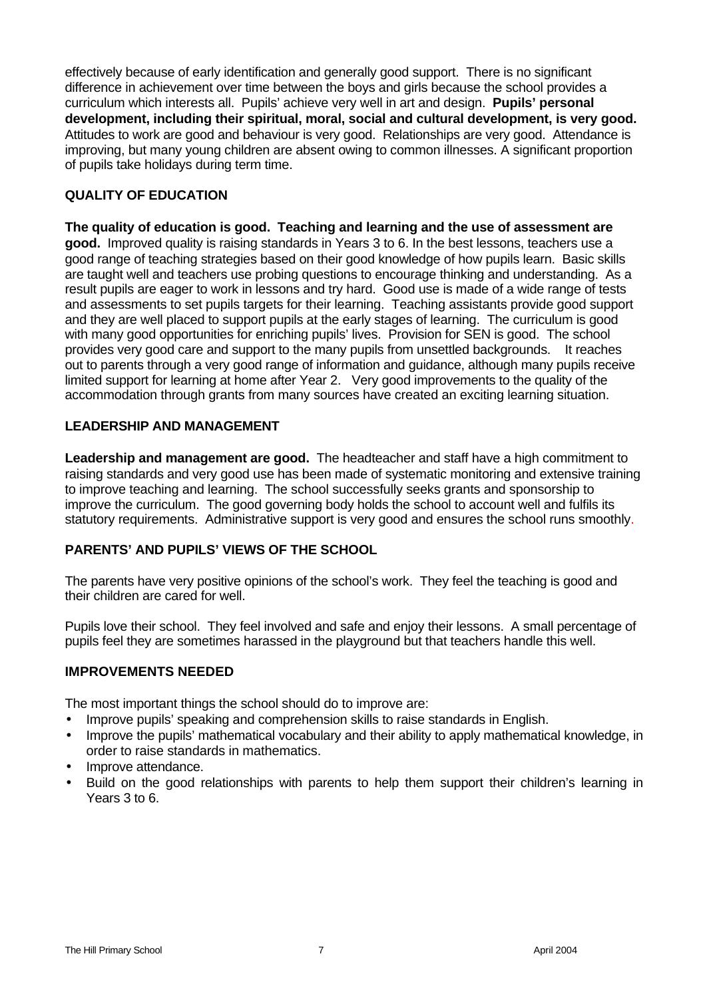effectively because of early identification and generally good support. There is no significant difference in achievement over time between the boys and girls because the school provides a curriculum which interests all. Pupils' achieve very well in art and design. **Pupils' personal development, including their spiritual, moral, social and cultural development, is very good.** Attitudes to work are good and behaviour is very good. Relationships are very good. Attendance is improving, but many young children are absent owing to common illnesses. A significant proportion of pupils take holidays during term time.

## **QUALITY OF EDUCATION**

**The quality of education is good. Teaching and learning and the use of assessment are good.** Improved quality is raising standards in Years 3 to 6. In the best lessons, teachers use a good range of teaching strategies based on their good knowledge of how pupils learn. Basic skills are taught well and teachers use probing questions to encourage thinking and understanding. As a result pupils are eager to work in lessons and try hard. Good use is made of a wide range of tests and assessments to set pupils targets for their learning. Teaching assistants provide good support and they are well placed to support pupils at the early stages of learning. The curriculum is good with many good opportunities for enriching pupils' lives. Provision for SEN is good. The school provides very good care and support to the many pupils from unsettled backgrounds. It reaches out to parents through a very good range of information and guidance, although many pupils receive limited support for learning at home after Year 2. Very good improvements to the quality of the accommodation through grants from many sources have created an exciting learning situation.

## **LEADERSHIP AND MANAGEMENT**

**Leadership and management are good.** The headteacher and staff have a high commitment to raising standards and very good use has been made of systematic monitoring and extensive training to improve teaching and learning. The school successfully seeks grants and sponsorship to improve the curriculum. The good governing body holds the school to account well and fulfils its statutory requirements. Administrative support is very good and ensures the school runs smoothly.

## **PARENTS' AND PUPILS' VIEWS OF THE SCHOOL**

The parents have very positive opinions of the school's work. They feel the teaching is good and their children are cared for well.

Pupils love their school. They feel involved and safe and enjoy their lessons. A small percentage of pupils feel they are sometimes harassed in the playground but that teachers handle this well.

#### **IMPROVEMENTS NEEDED**

The most important things the school should do to improve are:

- Improve pupils' speaking and comprehension skills to raise standards in English.
- Improve the pupils' mathematical vocabulary and their ability to apply mathematical knowledge, in order to raise standards in mathematics.
- Improve attendance.
- Build on the good relationships with parents to help them support their children's learning in Years 3 to 6.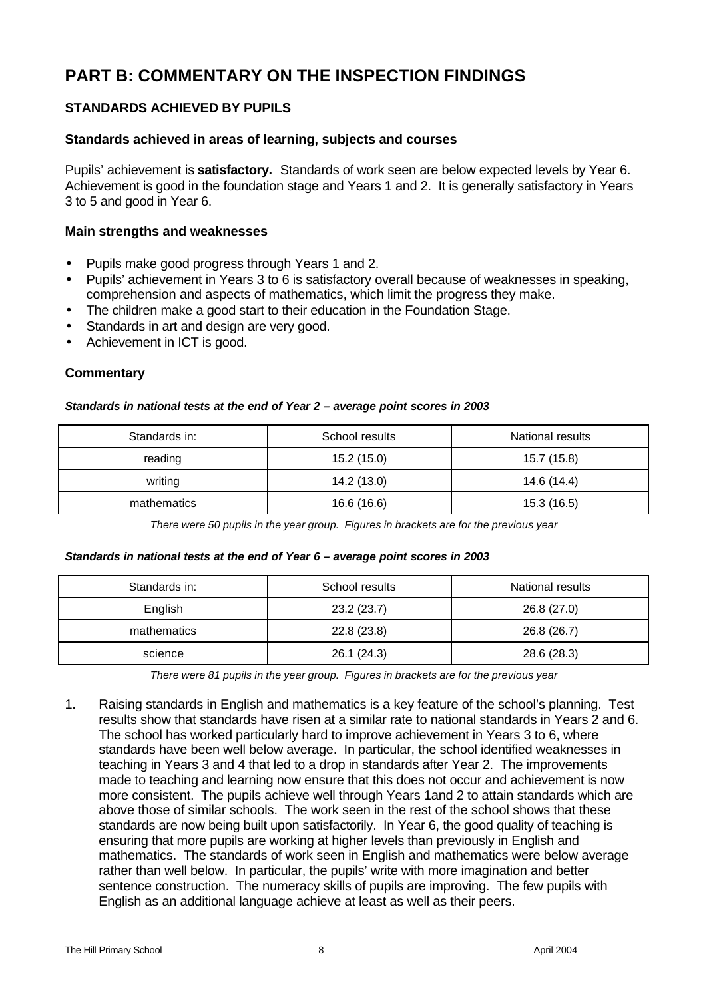# **PART B: COMMENTARY ON THE INSPECTION FINDINGS**

# **STANDARDS ACHIEVED BY PUPILS**

#### **Standards achieved in areas of learning, subjects and courses**

Pupils' achievement is **satisfactory.** Standards of work seen are below expected levels by Year 6. Achievement is good in the foundation stage and Years 1 and 2. It is generally satisfactory in Years 3 to 5 and good in Year 6.

#### **Main strengths and weaknesses**

- Pupils make good progress through Years 1 and 2.
- Pupils' achievement in Years 3 to 6 is satisfactory overall because of weaknesses in speaking. comprehension and aspects of mathematics, which limit the progress they make.
- The children make a good start to their education in the Foundation Stage.
- Standards in art and design are very good.
- Achievement in ICT is good.

#### **Commentary**

#### *Standards in national tests at the end of Year 2 – average point scores in 2003*

| Standards in: | School results | National results |
|---------------|----------------|------------------|
| reading       | 15.2 (15.0)    | 15.7 (15.8)      |
| writing       | 14.2 (13.0)    | 14.6 (14.4)      |
| mathematics   | 16.6 (16.6)    | 15.3 (16.5)      |

*There were 50 pupils in the year group. Figures in brackets are for the previous year*

#### *Standards in national tests at the end of Year 6 – average point scores in 2003*

| Standards in: | School results | National results |
|---------------|----------------|------------------|
| English       | 23.2(23.7)     | 26.8 (27.0)      |
| mathematics   | 22.8(23.8)     | 26.8 (26.7)      |
| science       | 26.1(24.3)     | 28.6 (28.3)      |

*There were 81 pupils in the year group. Figures in brackets are for the previous year*

1. Raising standards in English and mathematics is a key feature of the school's planning. Test results show that standards have risen at a similar rate to national standards in Years 2 and 6. The school has worked particularly hard to improve achievement in Years 3 to 6, where standards have been well below average. In particular, the school identified weaknesses in teaching in Years 3 and 4 that led to a drop in standards after Year 2. The improvements made to teaching and learning now ensure that this does not occur and achievement is now more consistent. The pupils achieve well through Years 1and 2 to attain standards which are above those of similar schools. The work seen in the rest of the school shows that these standards are now being built upon satisfactorily. In Year 6, the good quality of teaching is ensuring that more pupils are working at higher levels than previously in English and mathematics. The standards of work seen in English and mathematics were below average rather than well below. In particular, the pupils' write with more imagination and better sentence construction. The numeracy skills of pupils are improving. The few pupils with English as an additional language achieve at least as well as their peers.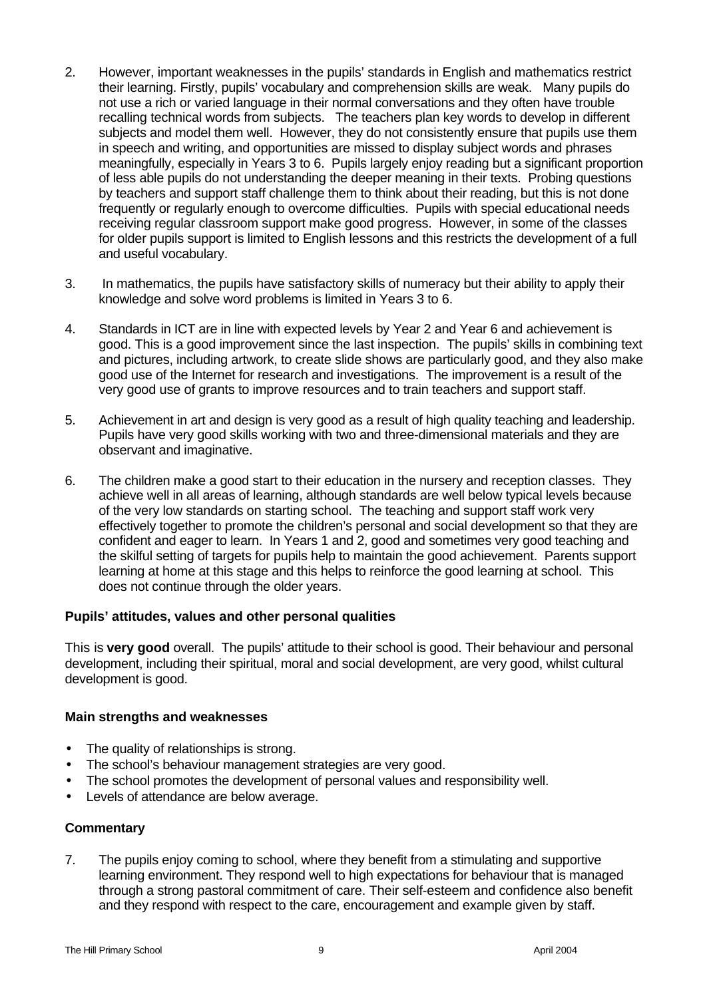- 2. However, important weaknesses in the pupils' standards in English and mathematics restrict their learning. Firstly, pupils' vocabulary and comprehension skills are weak. Many pupils do not use a rich or varied language in their normal conversations and they often have trouble recalling technical words from subjects. The teachers plan key words to develop in different subjects and model them well. However, they do not consistently ensure that pupils use them in speech and writing, and opportunities are missed to display subject words and phrases meaningfully, especially in Years 3 to 6. Pupils largely enjoy reading but a significant proportion of less able pupils do not understanding the deeper meaning in their texts. Probing questions by teachers and support staff challenge them to think about their reading, but this is not done frequently or regularly enough to overcome difficulties. Pupils with special educational needs receiving regular classroom support make good progress. However, in some of the classes for older pupils support is limited to English lessons and this restricts the development of a full and useful vocabulary.
- 3. In mathematics, the pupils have satisfactory skills of numeracy but their ability to apply their knowledge and solve word problems is limited in Years 3 to 6.
- 4. Standards in ICT are in line with expected levels by Year 2 and Year 6 and achievement is good. This is a good improvement since the last inspection. The pupils' skills in combining text and pictures, including artwork, to create slide shows are particularly good, and they also make good use of the Internet for research and investigations. The improvement is a result of the very good use of grants to improve resources and to train teachers and support staff.
- 5. Achievement in art and design is very good as a result of high quality teaching and leadership. Pupils have very good skills working with two and three-dimensional materials and they are observant and imaginative.
- 6. The children make a good start to their education in the nursery and reception classes. They achieve well in all areas of learning, although standards are well below typical levels because of the very low standards on starting school. The teaching and support staff work very effectively together to promote the children's personal and social development so that they are confident and eager to learn. In Years 1 and 2, good and sometimes very good teaching and the skilful setting of targets for pupils help to maintain the good achievement. Parents support learning at home at this stage and this helps to reinforce the good learning at school. This does not continue through the older years.

#### **Pupils' attitudes, values and other personal qualities**

This is **very good** overall.The pupils' attitude to their school is good. Their behaviour and personal development, including their spiritual, moral and social development, are very good, whilst cultural development is good.

#### **Main strengths and weaknesses**

- The quality of relationships is strong.
- The school's behaviour management strategies are very good.
- The school promotes the development of personal values and responsibility well.
- Levels of attendance are below average.

#### **Commentary**

7. The pupils enjoy coming to school, where they benefit from a stimulating and supportive learning environment. They respond well to high expectations for behaviour that is managed through a strong pastoral commitment of care. Their self-esteem and confidence also benefit and they respond with respect to the care, encouragement and example given by staff.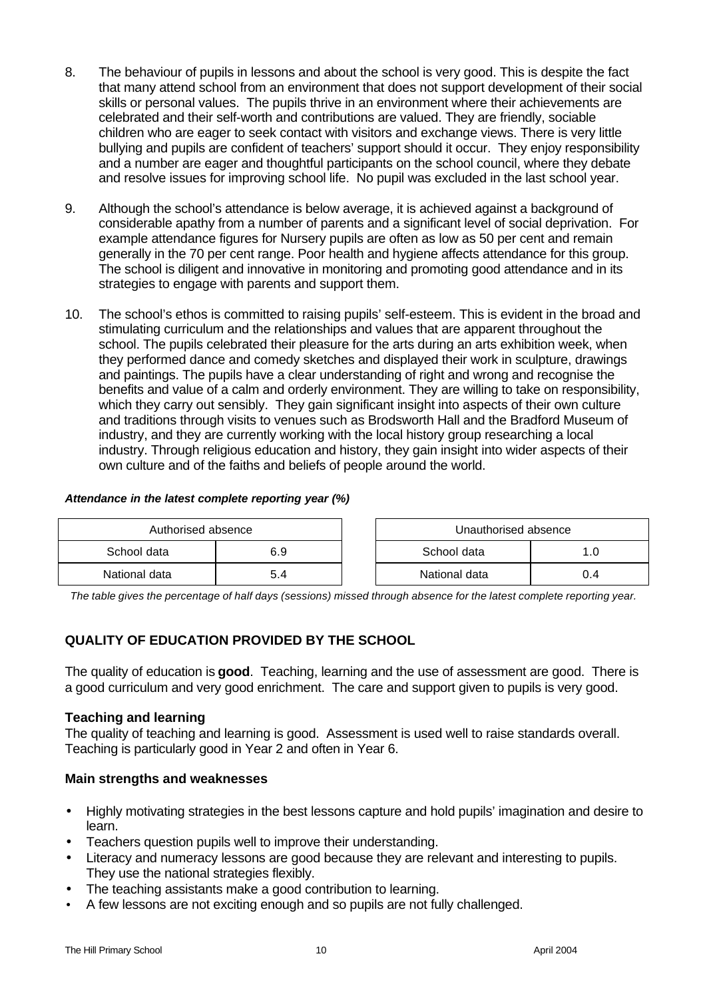- 8. The behaviour of pupils in lessons and about the school is very good. This is despite the fact that many attend school from an environment that does not support development of their social skills or personal values. The pupils thrive in an environment where their achievements are celebrated and their self-worth and contributions are valued. They are friendly, sociable children who are eager to seek contact with visitors and exchange views. There is very little bullying and pupils are confident of teachers' support should it occur. They enjoy responsibility and a number are eager and thoughtful participants on the school council, where they debate and resolve issues for improving school life. No pupil was excluded in the last school year.
- 9. Although the school's attendance is below average, it is achieved against a background of considerable apathy from a number of parents and a significant level of social deprivation. For example attendance figures for Nursery pupils are often as low as 50 per cent and remain generally in the 70 per cent range. Poor health and hygiene affects attendance for this group. The school is diligent and innovative in monitoring and promoting good attendance and in its strategies to engage with parents and support them.
- 10. The school's ethos is committed to raising pupils' self-esteem. This is evident in the broad and stimulating curriculum and the relationships and values that are apparent throughout the school. The pupils celebrated their pleasure for the arts during an arts exhibition week, when they performed dance and comedy sketches and displayed their work in sculpture, drawings and paintings. The pupils have a clear understanding of right and wrong and recognise the benefits and value of a calm and orderly environment. They are willing to take on responsibility, which they carry out sensibly. They gain significant insight into aspects of their own culture and traditions through visits to venues such as Brodsworth Hall and the Bradford Museum of industry, and they are currently working with the local history group researching a local industry. Through religious education and history, they gain insight into wider aspects of their own culture and of the faiths and beliefs of people around the world.

#### *Attendance in the latest complete reporting year (%)*

| Authorised absence |       | Unauthorised absence |     |
|--------------------|-------|----------------------|-----|
| School data        | 6.9   | School data          |     |
| National data      | - 5.4 | National data        | υ.4 |

*The table gives the percentage of half days (sessions) missed through absence for the latest complete reporting year.*

# **QUALITY OF EDUCATION PROVIDED BY THE SCHOOL**

The quality of education is **good**.Teaching, learning and the use of assessment are good. There is a good curriculum and very good enrichment. The care and support given to pupils is very good.

#### **Teaching and learning**

The quality of teaching and learning is good. Assessment is used well to raise standards overall. Teaching is particularly good in Year 2 and often in Year 6.

- Highly motivating strategies in the best lessons capture and hold pupils' imagination and desire to learn.
- Teachers question pupils well to improve their understanding.
- Literacy and numeracy lessons are good because they are relevant and interesting to pupils. They use the national strategies flexibly.
- The teaching assistants make a good contribution to learning.
- A few lessons are not exciting enough and so pupils are not fully challenged.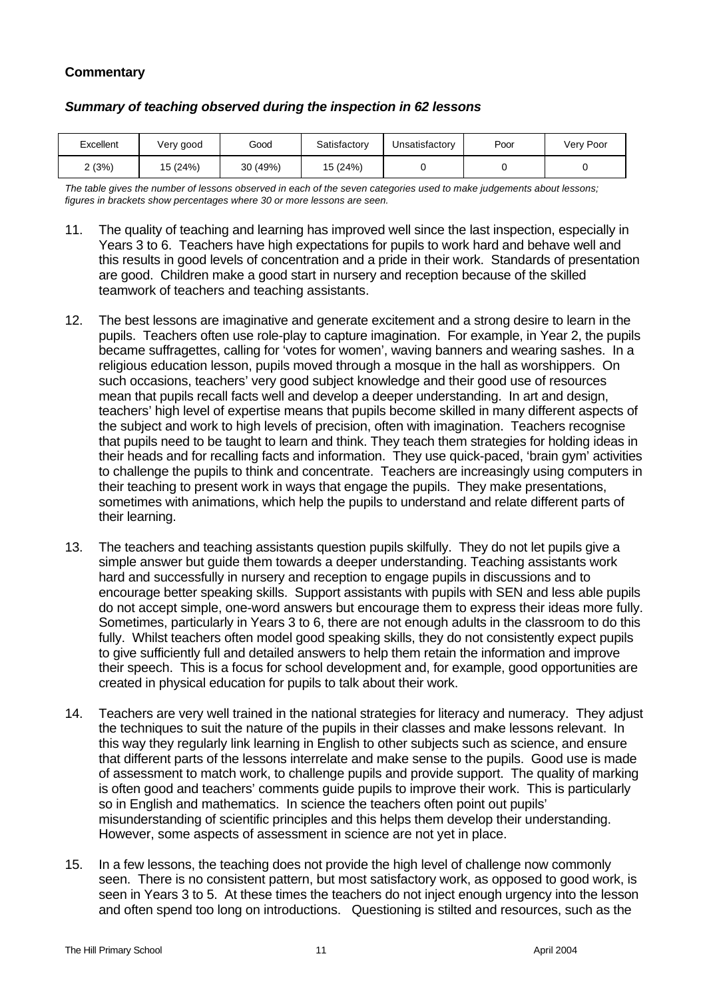| Excellent | Very good | Good     | Satisfactory | Unsatisfactory | Poor | Very Poor |
|-----------|-----------|----------|--------------|----------------|------|-----------|
| 2(3%)     | 15 (24%)  | 30 (49%) | 15 (24%)     |                |      |           |

#### *Summary of teaching observed during the inspection in 62 lessons*

*The table gives the number of lessons observed in each of the seven categories used to make judgements about lessons; figures in brackets show percentages where 30 or more lessons are seen.*

- 11. The quality of teaching and learning has improved well since the last inspection, especially in Years 3 to 6. Teachers have high expectations for pupils to work hard and behave well and this results in good levels of concentration and a pride in their work. Standards of presentation are good. Children make a good start in nursery and reception because of the skilled teamwork of teachers and teaching assistants.
- 12. The best lessons are imaginative and generate excitement and a strong desire to learn in the pupils. Teachers often use role-play to capture imagination. For example, in Year 2, the pupils became suffragettes, calling for 'votes for women', waving banners and wearing sashes. In a religious education lesson, pupils moved through a mosque in the hall as worshippers. On such occasions, teachers' very good subject knowledge and their good use of resources mean that pupils recall facts well and develop a deeper understanding. In art and design, teachers' high level of expertise means that pupils become skilled in many different aspects of the subject and work to high levels of precision, often with imagination. Teachers recognise that pupils need to be taught to learn and think. They teach them strategies for holding ideas in their heads and for recalling facts and information. They use quick-paced, 'brain gym' activities to challenge the pupils to think and concentrate. Teachers are increasingly using computers in their teaching to present work in ways that engage the pupils. They make presentations, sometimes with animations, which help the pupils to understand and relate different parts of their learning.
- 13. The teachers and teaching assistants question pupils skilfully. They do not let pupils give a simple answer but guide them towards a deeper understanding. Teaching assistants work hard and successfully in nursery and reception to engage pupils in discussions and to encourage better speaking skills. Support assistants with pupils with SEN and less able pupils do not accept simple, one-word answers but encourage them to express their ideas more fully. Sometimes, particularly in Years 3 to 6, there are not enough adults in the classroom to do this fully. Whilst teachers often model good speaking skills, they do not consistently expect pupils to give sufficiently full and detailed answers to help them retain the information and improve their speech. This is a focus for school development and, for example, good opportunities are created in physical education for pupils to talk about their work.
- 14. Teachers are very well trained in the national strategies for literacy and numeracy. They adjust the techniques to suit the nature of the pupils in their classes and make lessons relevant. In this way they regularly link learning in English to other subjects such as science, and ensure that different parts of the lessons interrelate and make sense to the pupils. Good use is made of assessment to match work, to challenge pupils and provide support. The quality of marking is often good and teachers' comments guide pupils to improve their work. This is particularly so in English and mathematics. In science the teachers often point out pupils' misunderstanding of scientific principles and this helps them develop their understanding. However, some aspects of assessment in science are not yet in place.
- 15. In a few lessons, the teaching does not provide the high level of challenge now commonly seen. There is no consistent pattern, but most satisfactory work, as opposed to good work, is seen in Years 3 to 5. At these times the teachers do not inject enough urgency into the lesson and often spend too long on introductions. Questioning is stilted and resources, such as the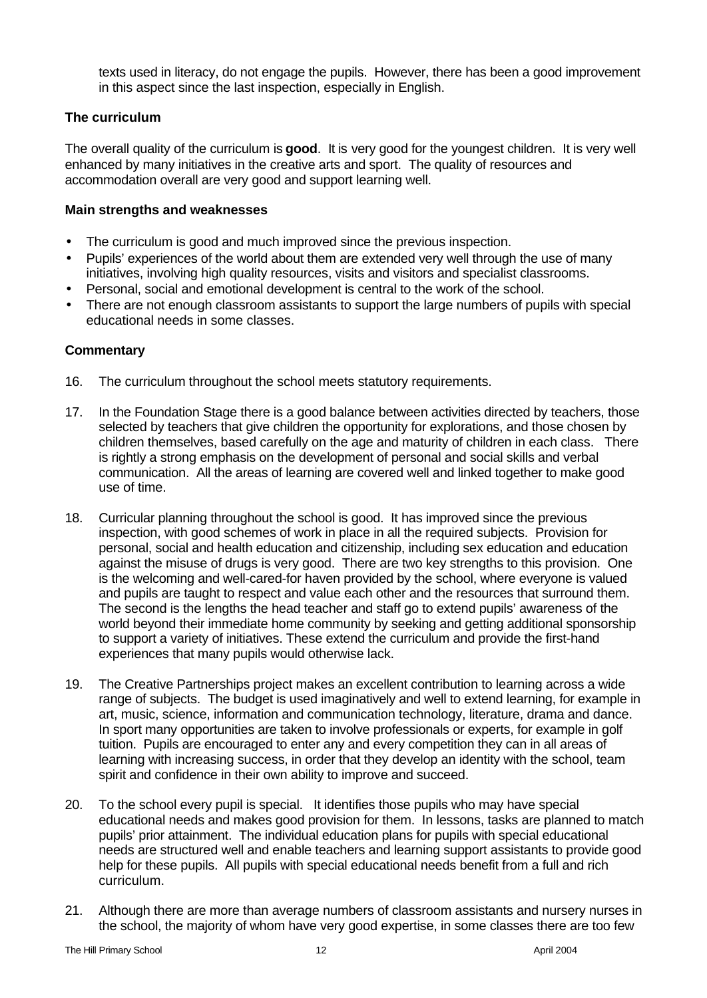texts used in literacy, do not engage the pupils. However, there has been a good improvement in this aspect since the last inspection, especially in English.

## **The curriculum**

The overall quality of the curriculum is **good**.It is very good for the youngest children. It is very well enhanced by many initiatives in the creative arts and sport. The quality of resources and accommodation overall are very good and support learning well.

#### **Main strengths and weaknesses**

- The curriculum is good and much improved since the previous inspection.
- Pupils' experiences of the world about them are extended very well through the use of many initiatives, involving high quality resources, visits and visitors and specialist classrooms.
- Personal, social and emotional development is central to the work of the school.
- There are not enough classroom assistants to support the large numbers of pupils with special educational needs in some classes.

- 16. The curriculum throughout the school meets statutory requirements.
- 17. In the Foundation Stage there is a good balance between activities directed by teachers, those selected by teachers that give children the opportunity for explorations, and those chosen by children themselves, based carefully on the age and maturity of children in each class. There is rightly a strong emphasis on the development of personal and social skills and verbal communication. All the areas of learning are covered well and linked together to make good use of time.
- 18. Curricular planning throughout the school is good. It has improved since the previous inspection, with good schemes of work in place in all the required subjects. Provision for personal, social and health education and citizenship, including sex education and education against the misuse of drugs is very good. There are two key strengths to this provision. One is the welcoming and well-cared-for haven provided by the school, where everyone is valued and pupils are taught to respect and value each other and the resources that surround them. The second is the lengths the head teacher and staff go to extend pupils' awareness of the world beyond their immediate home community by seeking and getting additional sponsorship to support a variety of initiatives. These extend the curriculum and provide the first-hand experiences that many pupils would otherwise lack.
- 19. The Creative Partnerships project makes an excellent contribution to learning across a wide range of subjects. The budget is used imaginatively and well to extend learning, for example in art, music, science, information and communication technology, literature, drama and dance. In sport many opportunities are taken to involve professionals or experts, for example in golf tuition. Pupils are encouraged to enter any and every competition they can in all areas of learning with increasing success, in order that they develop an identity with the school, team spirit and confidence in their own ability to improve and succeed.
- 20. To the school every pupil is special. It identifies those pupils who may have special educational needs and makes good provision for them. In lessons, tasks are planned to match pupils' prior attainment. The individual education plans for pupils with special educational needs are structured well and enable teachers and learning support assistants to provide good help for these pupils. All pupils with special educational needs benefit from a full and rich curriculum.
- 21. Although there are more than average numbers of classroom assistants and nursery nurses in the school, the majority of whom have very good expertise, in some classes there are too few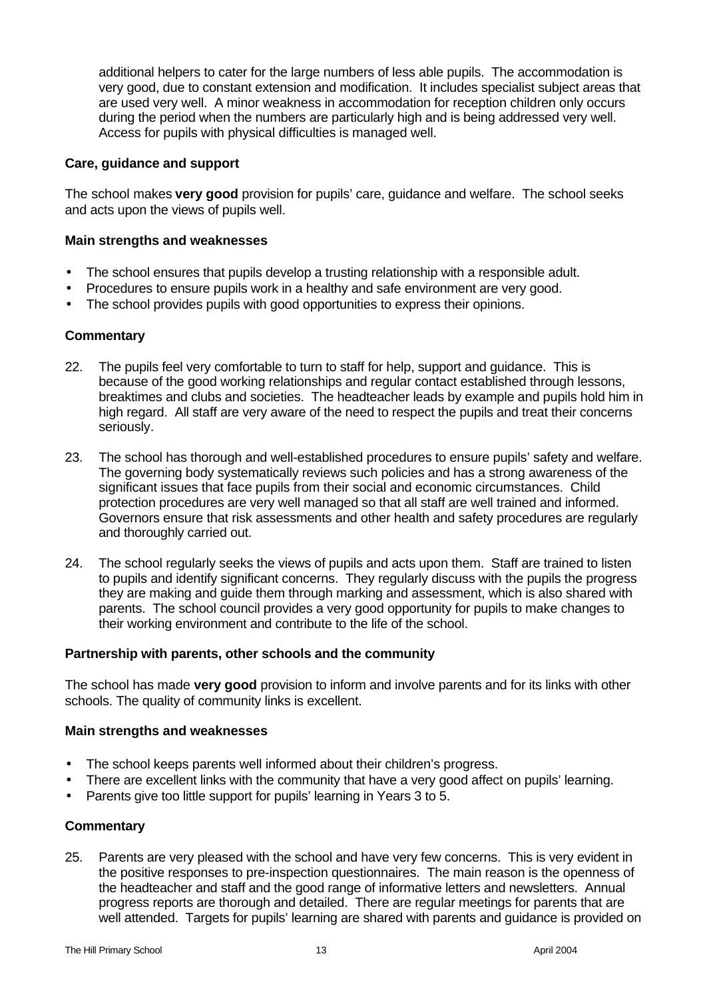additional helpers to cater for the large numbers of less able pupils. The accommodation is very good, due to constant extension and modification. It includes specialist subject areas that are used very well. A minor weakness in accommodation for reception children only occurs during the period when the numbers are particularly high and is being addressed very well. Access for pupils with physical difficulties is managed well.

#### **Care, guidance and support**

The school makes **very good** provision for pupils' care, guidance and welfare.The school seeks and acts upon the views of pupils well.

### **Main strengths and weaknesses**

- The school ensures that pupils develop a trusting relationship with a responsible adult.
- Procedures to ensure pupils work in a healthy and safe environment are very good.
- The school provides pupils with good opportunities to express their opinions.

#### **Commentary**

- 22. The pupils feel very comfortable to turn to staff for help, support and guidance. This is because of the good working relationships and regular contact established through lessons, breaktimes and clubs and societies. The headteacher leads by example and pupils hold him in high regard. All staff are very aware of the need to respect the pupils and treat their concerns seriously.
- 23. The school has thorough and well-established procedures to ensure pupils' safety and welfare. The governing body systematically reviews such policies and has a strong awareness of the significant issues that face pupils from their social and economic circumstances. Child protection procedures are very well managed so that all staff are well trained and informed. Governors ensure that risk assessments and other health and safety procedures are regularly and thoroughly carried out.
- 24. The school regularly seeks the views of pupils and acts upon them. Staff are trained to listen to pupils and identify significant concerns. They regularly discuss with the pupils the progress they are making and guide them through marking and assessment, which is also shared with parents. The school council provides a very good opportunity for pupils to make changes to their working environment and contribute to the life of the school.

#### **Partnership with parents, other schools and the community**

The school has made **very good** provision to inform and involve parents and for its links with other schools. The quality of community links is excellent.

#### **Main strengths and weaknesses**

- The school keeps parents well informed about their children's progress.
- There are excellent links with the community that have a very good affect on pupils' learning.
- Parents give too little support for pupils' learning in Years 3 to 5.

#### **Commentary**

25. Parents are very pleased with the school and have very few concerns. This is very evident in the positive responses to pre-inspection questionnaires. The main reason is the openness of the headteacher and staff and the good range of informative letters and newsletters. Annual progress reports are thorough and detailed. There are regular meetings for parents that are well attended. Targets for pupils' learning are shared with parents and guidance is provided on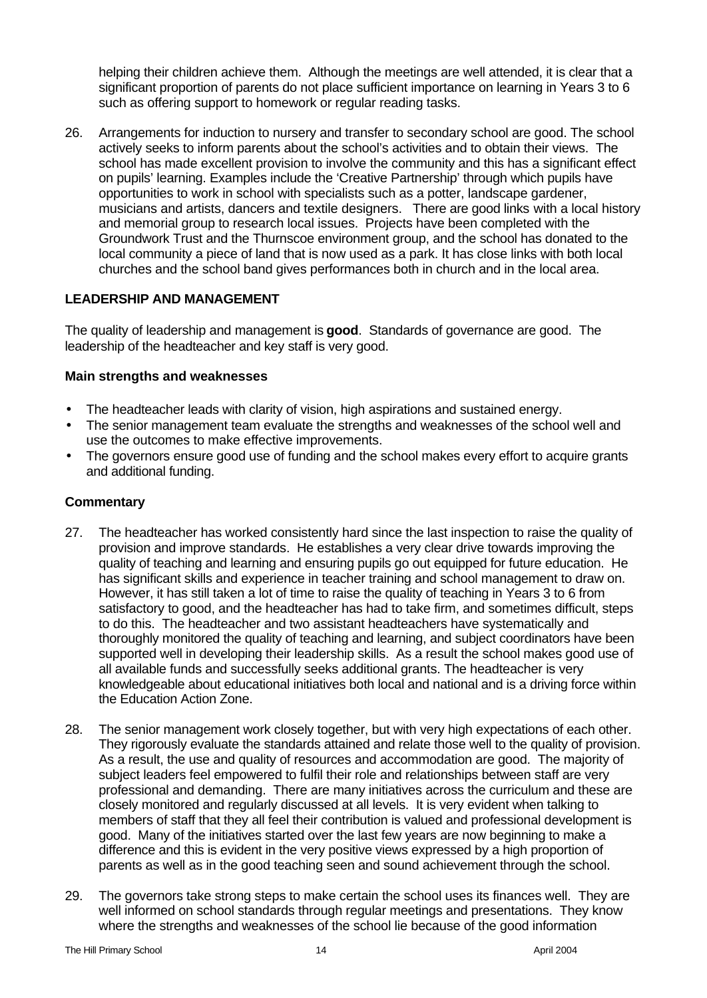helping their children achieve them. Although the meetings are well attended, it is clear that a significant proportion of parents do not place sufficient importance on learning in Years 3 to 6 such as offering support to homework or regular reading tasks.

26. Arrangements for induction to nursery and transfer to secondary school are good. The school actively seeks to inform parents about the school's activities and to obtain their views. The school has made excellent provision to involve the community and this has a significant effect on pupils' learning. Examples include the 'Creative Partnership' through which pupils have opportunities to work in school with specialists such as a potter, landscape gardener, musicians and artists, dancers and textile designers. There are good links with a local history and memorial group to research local issues. Projects have been completed with the Groundwork Trust and the Thurnscoe environment group, and the school has donated to the local community a piece of land that is now used as a park. It has close links with both local churches and the school band gives performances both in church and in the local area.

## **LEADERSHIP AND MANAGEMENT**

The quality of leadership and management is **good**. Standards of governance are good. The leadership of the headteacher and key staff is very good.

#### **Main strengths and weaknesses**

- The headteacher leads with clarity of vision, high aspirations and sustained energy.
- The senior management team evaluate the strengths and weaknesses of the school well and use the outcomes to make effective improvements.
- The governors ensure good use of funding and the school makes every effort to acquire grants and additional funding.

- 27. The headteacher has worked consistently hard since the last inspection to raise the quality of provision and improve standards. He establishes a very clear drive towards improving the quality of teaching and learning and ensuring pupils go out equipped for future education. He has significant skills and experience in teacher training and school management to draw on. However, it has still taken a lot of time to raise the quality of teaching in Years 3 to 6 from satisfactory to good, and the headteacher has had to take firm, and sometimes difficult, steps to do this. The headteacher and two assistant headteachers have systematically and thoroughly monitored the quality of teaching and learning, and subject coordinators have been supported well in developing their leadership skills. As a result the school makes good use of all available funds and successfully seeks additional grants. The headteacher is very knowledgeable about educational initiatives both local and national and is a driving force within the Education Action Zone.
- 28. The senior management work closely together, but with very high expectations of each other. They rigorously evaluate the standards attained and relate those well to the quality of provision. As a result, the use and quality of resources and accommodation are good. The majority of subject leaders feel empowered to fulfil their role and relationships between staff are very professional and demanding. There are many initiatives across the curriculum and these are closely monitored and regularly discussed at all levels. It is very evident when talking to members of staff that they all feel their contribution is valued and professional development is good. Many of the initiatives started over the last few years are now beginning to make a difference and this is evident in the very positive views expressed by a high proportion of parents as well as in the good teaching seen and sound achievement through the school.
- 29. The governors take strong steps to make certain the school uses its finances well. They are well informed on school standards through regular meetings and presentations. They know where the strengths and weaknesses of the school lie because of the good information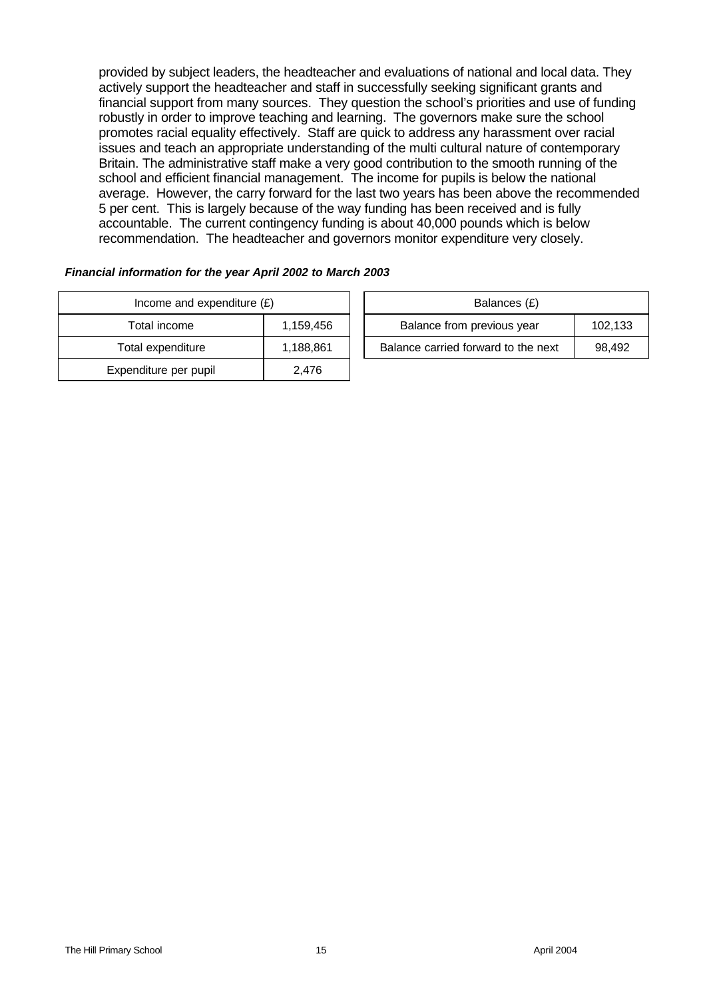provided by subject leaders, the headteacher and evaluations of national and local data. They actively support the headteacher and staff in successfully seeking significant grants and financial support from many sources. They question the school's priorities and use of funding robustly in order to improve teaching and learning. The governors make sure the school promotes racial equality effectively. Staff are quick to address any harassment over racial issues and teach an appropriate understanding of the multi cultural nature of contemporary Britain. The administrative staff make a very good contribution to the smooth running of the school and efficient financial management. The income for pupils is below the national average. However, the carry forward for the last two years has been above the recommended 5 per cent. This is largely because of the way funding has been received and is fully accountable. The current contingency funding is about 40,000 pounds which is below recommendation. The headteacher and governors monitor expenditure very closely.

| Income and expenditure $(E)$ | Balances (£) |                                |
|------------------------------|--------------|--------------------------------|
| Total income                 | 1,159,456    | Balance from previous year     |
| Total expenditure            | 1,188,861    | Balance carried forward to the |
| Expenditure per pupil        | 2.476        |                                |

| Financial information for the year April 2002 to March 2003 |  |
|-------------------------------------------------------------|--|
|-------------------------------------------------------------|--|

| Income and expenditure $(E)$ |           |                            | Balances (£)                        |         |
|------------------------------|-----------|----------------------------|-------------------------------------|---------|
| Total income                 | 1.159.456 | Balance from previous year |                                     | 102.133 |
| Total expenditure            | 1,188,861 |                            | Balance carried forward to the next | 98.492  |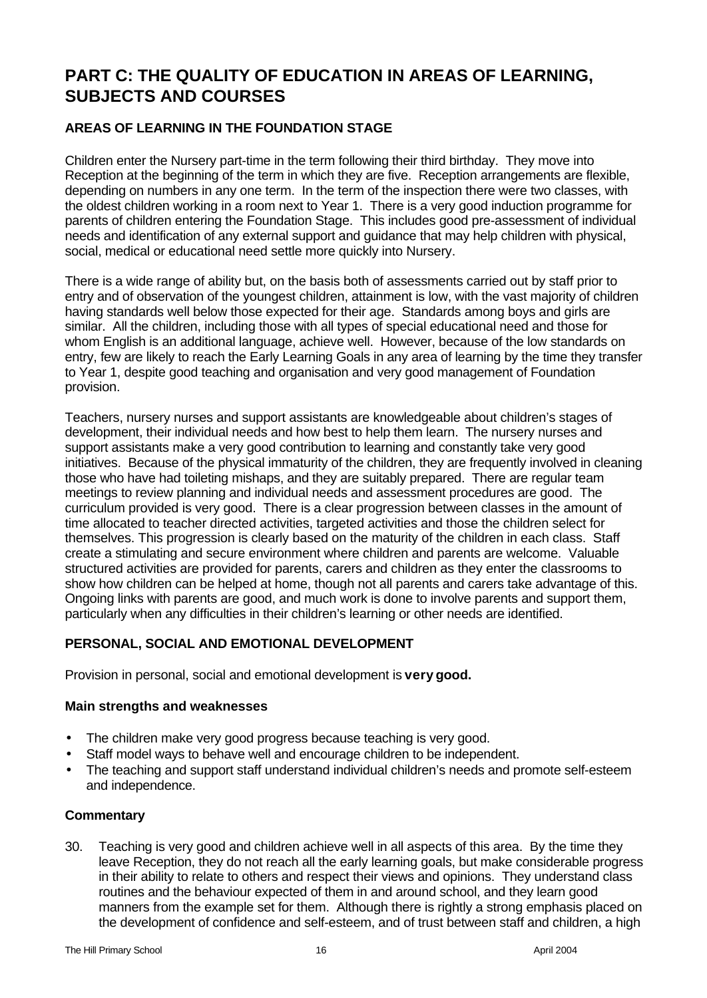# **PART C: THE QUALITY OF EDUCATION IN AREAS OF LEARNING, SUBJECTS AND COURSES**

## **AREAS OF LEARNING IN THE FOUNDATION STAGE**

Children enter the Nursery part-time in the term following their third birthday. They move into Reception at the beginning of the term in which they are five. Reception arrangements are flexible, depending on numbers in any one term. In the term of the inspection there were two classes, with the oldest children working in a room next to Year 1. There is a very good induction programme for parents of children entering the Foundation Stage. This includes good pre-assessment of individual needs and identification of any external support and guidance that may help children with physical, social, medical or educational need settle more quickly into Nursery.

There is a wide range of ability but, on the basis both of assessments carried out by staff prior to entry and of observation of the youngest children, attainment is low, with the vast majority of children having standards well below those expected for their age. Standards among boys and girls are similar. All the children, including those with all types of special educational need and those for whom English is an additional language, achieve well. However, because of the low standards on entry, few are likely to reach the Early Learning Goals in any area of learning by the time they transfer to Year 1, despite good teaching and organisation and very good management of Foundation provision.

Teachers, nursery nurses and support assistants are knowledgeable about children's stages of development, their individual needs and how best to help them learn. The nursery nurses and support assistants make a very good contribution to learning and constantly take very good initiatives. Because of the physical immaturity of the children, they are frequently involved in cleaning those who have had toileting mishaps, and they are suitably prepared. There are regular team meetings to review planning and individual needs and assessment procedures are good. The curriculum provided is very good. There is a clear progression between classes in the amount of time allocated to teacher directed activities, targeted activities and those the children select for themselves. This progression is clearly based on the maturity of the children in each class. Staff create a stimulating and secure environment where children and parents are welcome. Valuable structured activities are provided for parents, carers and children as they enter the classrooms to show how children can be helped at home, though not all parents and carers take advantage of this. Ongoing links with parents are good, and much work is done to involve parents and support them, particularly when any difficulties in their children's learning or other needs are identified.

## **PERSONAL, SOCIAL AND EMOTIONAL DEVELOPMENT**

Provision in personal, social and emotional development is **very good.**

#### **Main strengths and weaknesses**

- The children make very good progress because teaching is very good.
- Staff model ways to behave well and encourage children to be independent.
- The teaching and support staff understand individual children's needs and promote self-esteem and independence.

#### **Commentary**

30. Teaching is very good and children achieve well in all aspects of this area. By the time they leave Reception, they do not reach all the early learning goals, but make considerable progress in their ability to relate to others and respect their views and opinions. They understand class routines and the behaviour expected of them in and around school, and they learn good manners from the example set for them. Although there is rightly a strong emphasis placed on the development of confidence and self-esteem, and of trust between staff and children, a high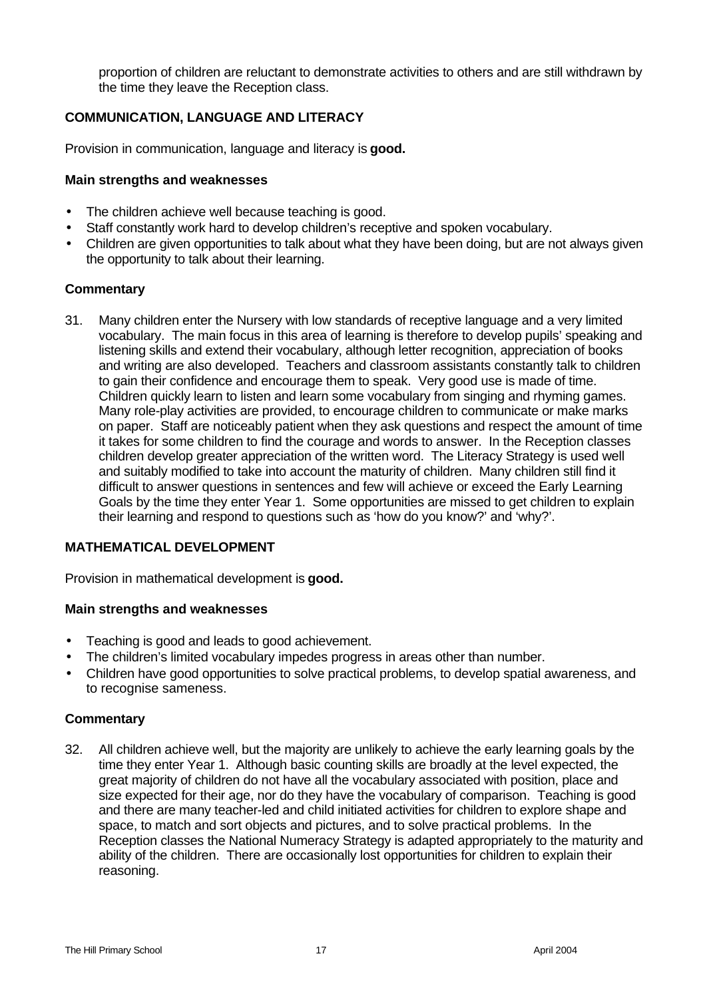proportion of children are reluctant to demonstrate activities to others and are still withdrawn by the time they leave the Reception class.

## **COMMUNICATION, LANGUAGE AND LITERACY**

Provision in communication, language and literacy is **good.**

## **Main strengths and weaknesses**

- The children achieve well because teaching is good.
- Staff constantly work hard to develop children's receptive and spoken vocabulary.
- Children are given opportunities to talk about what they have been doing, but are not always given the opportunity to talk about their learning.

## **Commentary**

31. Many children enter the Nursery with low standards of receptive language and a very limited vocabulary. The main focus in this area of learning is therefore to develop pupils' speaking and listening skills and extend their vocabulary, although letter recognition, appreciation of books and writing are also developed. Teachers and classroom assistants constantly talk to children to gain their confidence and encourage them to speak. Very good use is made of time. Children quickly learn to listen and learn some vocabulary from singing and rhyming games. Many role-play activities are provided, to encourage children to communicate or make marks on paper. Staff are noticeably patient when they ask questions and respect the amount of time it takes for some children to find the courage and words to answer. In the Reception classes children develop greater appreciation of the written word. The Literacy Strategy is used well and suitably modified to take into account the maturity of children. Many children still find it difficult to answer questions in sentences and few will achieve or exceed the Early Learning Goals by the time they enter Year 1. Some opportunities are missed to get children to explain their learning and respond to questions such as 'how do you know?' and 'why?'.

## **MATHEMATICAL DEVELOPMENT**

Provision in mathematical development is **good.**

#### **Main strengths and weaknesses**

- Teaching is good and leads to good achievement.
- The children's limited vocabulary impedes progress in areas other than number.
- Children have good opportunities to solve practical problems, to develop spatial awareness, and to recognise sameness.

#### **Commentary**

32. All children achieve well, but the majority are unlikely to achieve the early learning goals by the time they enter Year 1. Although basic counting skills are broadly at the level expected, the great majority of children do not have all the vocabulary associated with position, place and size expected for their age, nor do they have the vocabulary of comparison. Teaching is good and there are many teacher-led and child initiated activities for children to explore shape and space, to match and sort objects and pictures, and to solve practical problems. In the Reception classes the National Numeracy Strategy is adapted appropriately to the maturity and ability of the children. There are occasionally lost opportunities for children to explain their reasoning.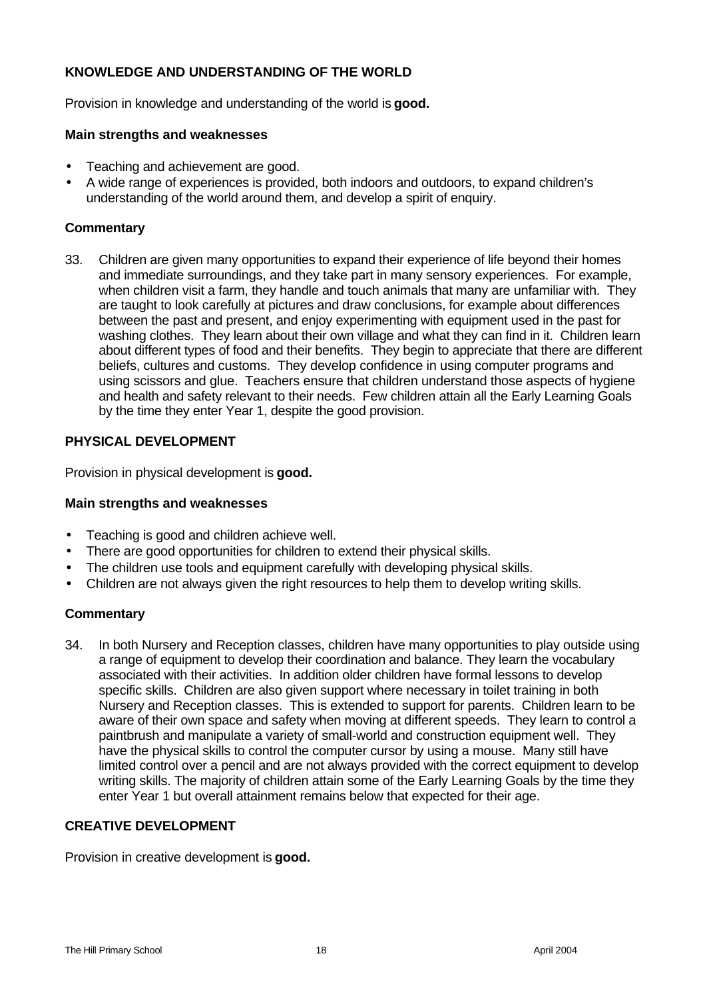## **KNOWLEDGE AND UNDERSTANDING OF THE WORLD**

Provision in knowledge and understanding of the world is **good.**

#### **Main strengths and weaknesses**

- Teaching and achievement are good.
- A wide range of experiences is provided, both indoors and outdoors, to expand children's understanding of the world around them, and develop a spirit of enquiry.

#### **Commentary**

33. Children are given many opportunities to expand their experience of life beyond their homes and immediate surroundings, and they take part in many sensory experiences. For example, when children visit a farm, they handle and touch animals that many are unfamiliar with. They are taught to look carefully at pictures and draw conclusions, for example about differences between the past and present, and enjoy experimenting with equipment used in the past for washing clothes. They learn about their own village and what they can find in it. Children learn about different types of food and their benefits. They begin to appreciate that there are different beliefs, cultures and customs. They develop confidence in using computer programs and using scissors and glue. Teachers ensure that children understand those aspects of hygiene and health and safety relevant to their needs. Few children attain all the Early Learning Goals by the time they enter Year 1, despite the good provision.

#### **PHYSICAL DEVELOPMENT**

Provision in physical development is **good.**

#### **Main strengths and weaknesses**

- Teaching is good and children achieve well.
- There are good opportunities for children to extend their physical skills.
- The children use tools and equipment carefully with developing physical skills.
- Children are not always given the right resources to help them to develop writing skills.

#### **Commentary**

34. In both Nursery and Reception classes, children have many opportunities to play outside using a range of equipment to develop their coordination and balance. They learn the vocabulary associated with their activities. In addition older children have formal lessons to develop specific skills. Children are also given support where necessary in toilet training in both Nursery and Reception classes. This is extended to support for parents. Children learn to be aware of their own space and safety when moving at different speeds. They learn to control a paintbrush and manipulate a variety of small-world and construction equipment well. They have the physical skills to control the computer cursor by using a mouse. Many still have limited control over a pencil and are not always provided with the correct equipment to develop writing skills. The majority of children attain some of the Early Learning Goals by the time they enter Year 1 but overall attainment remains below that expected for their age.

### **CREATIVE DEVELOPMENT**

Provision in creative development is **good.**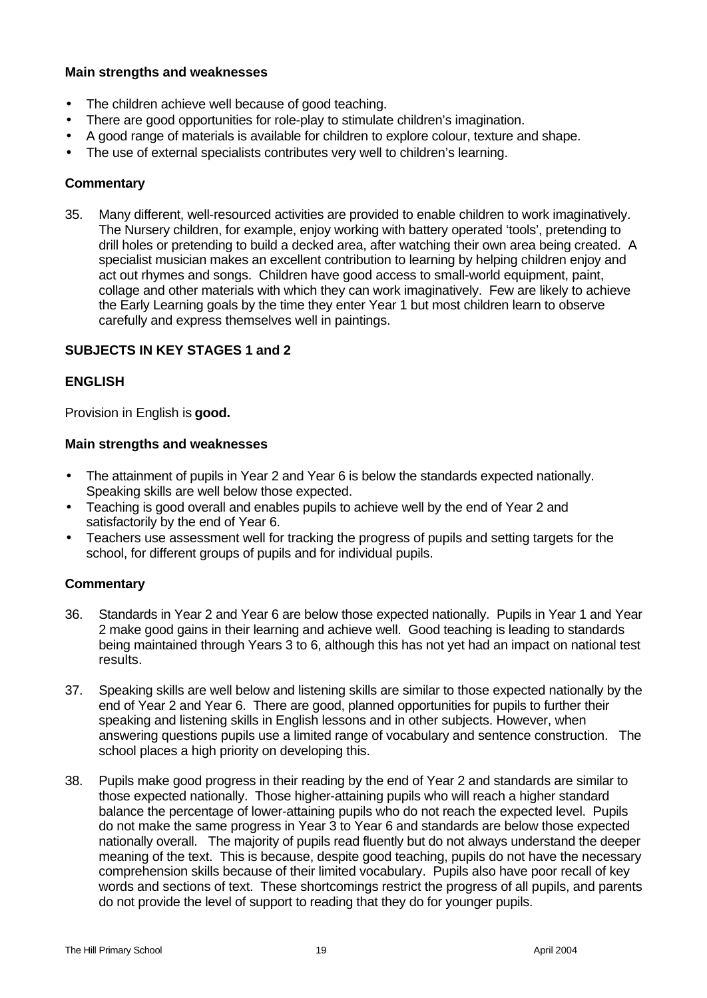### **Main strengths and weaknesses**

- The children achieve well because of good teaching.
- There are good opportunities for role-play to stimulate children's imagination.
- A good range of materials is available for children to explore colour, texture and shape.
- The use of external specialists contributes very well to children's learning.

## **Commentary**

35. Many different, well-resourced activities are provided to enable children to work imaginatively. The Nursery children, for example, enjoy working with battery operated 'tools', pretending to drill holes or pretending to build a decked area, after watching their own area being created. A specialist musician makes an excellent contribution to learning by helping children enjoy and act out rhymes and songs. Children have good access to small-world equipment, paint, collage and other materials with which they can work imaginatively. Few are likely to achieve the Early Learning goals by the time they enter Year 1 but most children learn to observe carefully and express themselves well in paintings.

## **SUBJECTS IN KEY STAGES 1 and 2**

## **ENGLISH**

Provision in English is **good.**

#### **Main strengths and weaknesses**

- The attainment of pupils in Year 2 and Year 6 is below the standards expected nationally. Speaking skills are well below those expected.
- Teaching is good overall and enables pupils to achieve well by the end of Year 2 and satisfactorily by the end of Year 6.
- Teachers use assessment well for tracking the progress of pupils and setting targets for the school, for different groups of pupils and for individual pupils.

- 36. Standards in Year 2 and Year 6 are below those expected nationally. Pupils in Year 1 and Year 2 make good gains in their learning and achieve well. Good teaching is leading to standards being maintained through Years 3 to 6, although this has not yet had an impact on national test results.
- 37. Speaking skills are well below and listening skills are similar to those expected nationally by the end of Year 2 and Year 6. There are good, planned opportunities for pupils to further their speaking and listening skills in English lessons and in other subjects. However, when answering questions pupils use a limited range of vocabulary and sentence construction. The school places a high priority on developing this.
- 38. Pupils make good progress in their reading by the end of Year 2 and standards are similar to those expected nationally. Those higher-attaining pupils who will reach a higher standard balance the percentage of lower-attaining pupils who do not reach the expected level. Pupils do not make the same progress in Year 3 to Year 6 and standards are below those expected nationally overall. The majority of pupils read fluently but do not always understand the deeper meaning of the text. This is because, despite good teaching, pupils do not have the necessary comprehension skills because of their limited vocabulary. Pupils also have poor recall of key words and sections of text. These shortcomings restrict the progress of all pupils, and parents do not provide the level of support to reading that they do for younger pupils.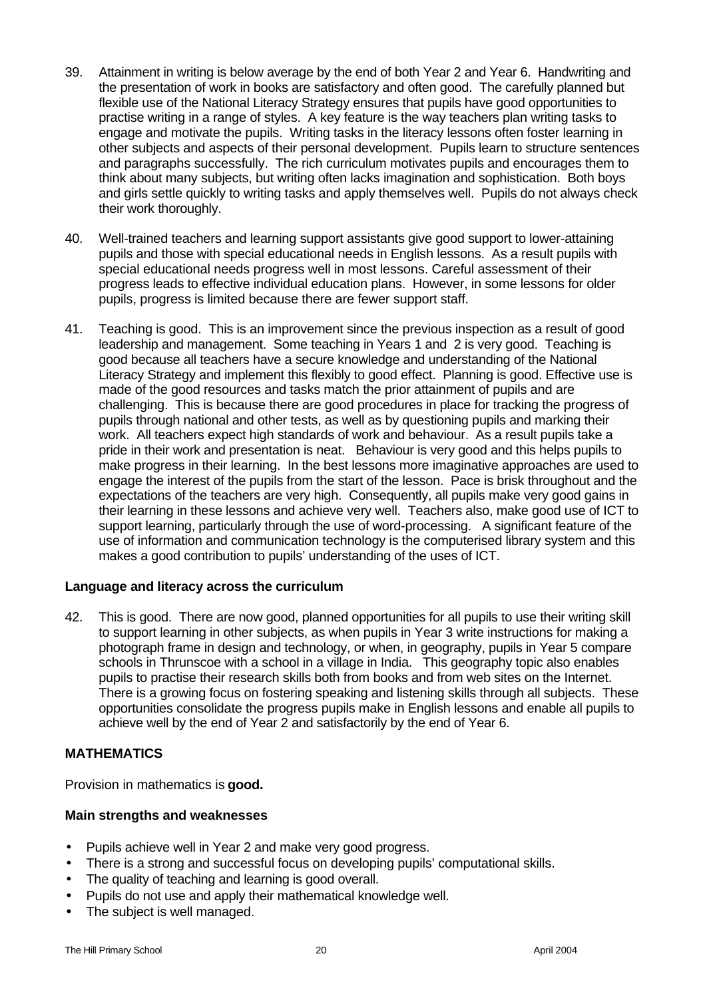- 39. Attainment in writing is below average by the end of both Year 2 and Year 6. Handwriting and the presentation of work in books are satisfactory and often good. The carefully planned but flexible use of the National Literacy Strategy ensures that pupils have good opportunities to practise writing in a range of styles. A key feature is the way teachers plan writing tasks to engage and motivate the pupils. Writing tasks in the literacy lessons often foster learning in other subjects and aspects of their personal development. Pupils learn to structure sentences and paragraphs successfully. The rich curriculum motivates pupils and encourages them to think about many subjects, but writing often lacks imagination and sophistication. Both boys and girls settle quickly to writing tasks and apply themselves well. Pupils do not always check their work thoroughly.
- 40. Well-trained teachers and learning support assistants give good support to lower-attaining pupils and those with special educational needs in English lessons. As a result pupils with special educational needs progress well in most lessons. Careful assessment of their progress leads to effective individual education plans. However, in some lessons for older pupils, progress is limited because there are fewer support staff.
- 41. Teaching is good. This is an improvement since the previous inspection as a result of good leadership and management. Some teaching in Years 1 and 2 is very good. Teaching is good because all teachers have a secure knowledge and understanding of the National Literacy Strategy and implement this flexibly to good effect. Planning is good. Effective use is made of the good resources and tasks match the prior attainment of pupils and are challenging. This is because there are good procedures in place for tracking the progress of pupils through national and other tests, as well as by questioning pupils and marking their work. All teachers expect high standards of work and behaviour. As a result pupils take a pride in their work and presentation is neat. Behaviour is very good and this helps pupils to make progress in their learning. In the best lessons more imaginative approaches are used to engage the interest of the pupils from the start of the lesson. Pace is brisk throughout and the expectations of the teachers are very high. Consequently, all pupils make very good gains in their learning in these lessons and achieve very well. Teachers also, make good use of ICT to support learning, particularly through the use of word-processing. A significant feature of the use of information and communication technology is the computerised library system and this makes a good contribution to pupils' understanding of the uses of ICT.

#### **Language and literacy across the curriculum**

42. This is good. There are now good, planned opportunities for all pupils to use their writing skill to support learning in other subjects, as when pupils in Year 3 write instructions for making a photograph frame in design and technology, or when, in geography, pupils in Year 5 compare schools in Thrunscoe with a school in a village in India. This geography topic also enables pupils to practise their research skills both from books and from web sites on the Internet. There is a growing focus on fostering speaking and listening skills through all subjects. These opportunities consolidate the progress pupils make in English lessons and enable all pupils to achieve well by the end of Year 2 and satisfactorily by the end of Year 6.

#### **MATHEMATICS**

Provision in mathematics is **good.**

- Pupils achieve well in Year 2 and make very good progress.
- There is a strong and successful focus on developing pupils' computational skills.
- The quality of teaching and learning is good overall.
- Pupils do not use and apply their mathematical knowledge well.
- The subject is well managed.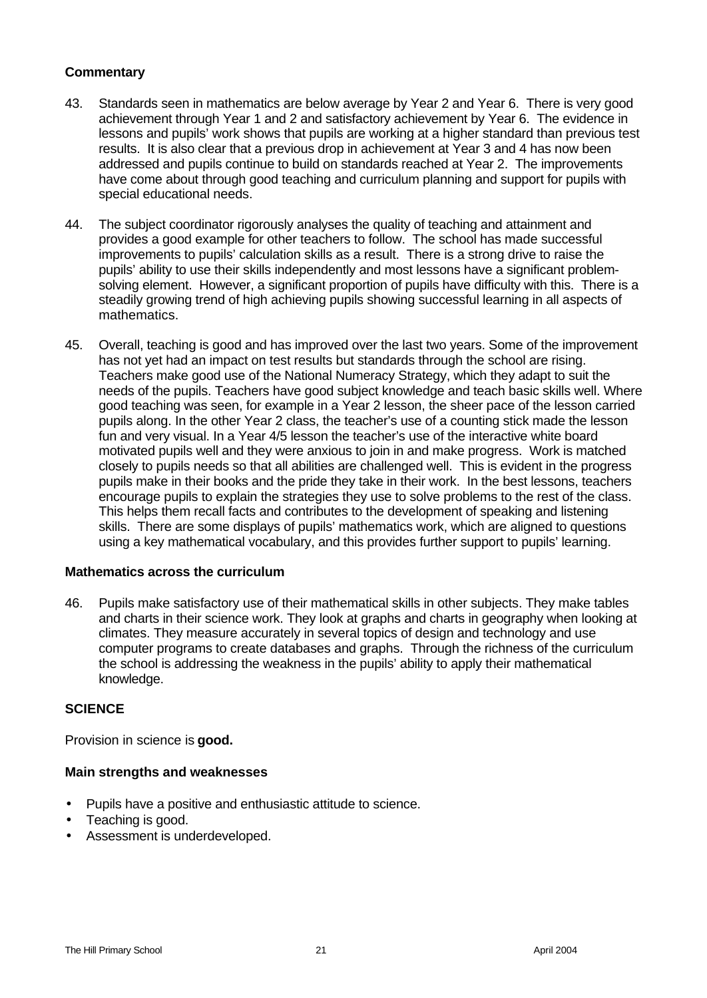- 43. Standards seen in mathematics are below average by Year 2 and Year 6. There is very good achievement through Year 1 and 2 and satisfactory achievement by Year 6. The evidence in lessons and pupils' work shows that pupils are working at a higher standard than previous test results. It is also clear that a previous drop in achievement at Year 3 and 4 has now been addressed and pupils continue to build on standards reached at Year 2. The improvements have come about through good teaching and curriculum planning and support for pupils with special educational needs.
- 44. The subject coordinator rigorously analyses the quality of teaching and attainment and provides a good example for other teachers to follow. The school has made successful improvements to pupils' calculation skills as a result. There is a strong drive to raise the pupils' ability to use their skills independently and most lessons have a significant problemsolving element. However, a significant proportion of pupils have difficulty with this. There is a steadily growing trend of high achieving pupils showing successful learning in all aspects of mathematics.
- 45. Overall, teaching is good and has improved over the last two years. Some of the improvement has not yet had an impact on test results but standards through the school are rising. Teachers make good use of the National Numeracy Strategy, which they adapt to suit the needs of the pupils. Teachers have good subject knowledge and teach basic skills well. Where good teaching was seen, for example in a Year 2 lesson, the sheer pace of the lesson carried pupils along. In the other Year 2 class, the teacher's use of a counting stick made the lesson fun and very visual. In a Year 4/5 lesson the teacher's use of the interactive white board motivated pupils well and they were anxious to join in and make progress. Work is matched closely to pupils needs so that all abilities are challenged well. This is evident in the progress pupils make in their books and the pride they take in their work. In the best lessons, teachers encourage pupils to explain the strategies they use to solve problems to the rest of the class. This helps them recall facts and contributes to the development of speaking and listening skills. There are some displays of pupils' mathematics work, which are aligned to questions using a key mathematical vocabulary, and this provides further support to pupils' learning.

#### **Mathematics across the curriculum**

46. Pupils make satisfactory use of their mathematical skills in other subjects. They make tables and charts in their science work. They look at graphs and charts in geography when looking at climates. They measure accurately in several topics of design and technology and use computer programs to create databases and graphs. Through the richness of the curriculum the school is addressing the weakness in the pupils' ability to apply their mathematical knowledge.

#### **SCIENCE**

Provision in science is **good.**

- Pupils have a positive and enthusiastic attitude to science.
- Teaching is good.
- Assessment is underdeveloped.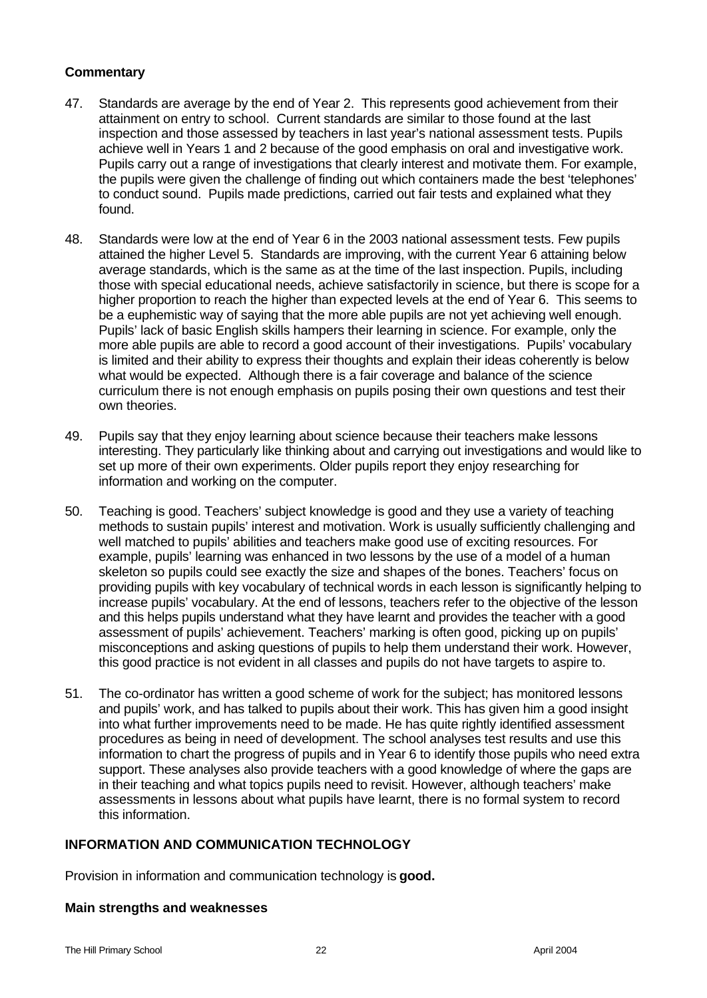- 47. Standards are average by the end of Year 2. This represents good achievement from their attainment on entry to school. Current standards are similar to those found at the last inspection and those assessed by teachers in last year's national assessment tests. Pupils achieve well in Years 1 and 2 because of the good emphasis on oral and investigative work. Pupils carry out a range of investigations that clearly interest and motivate them. For example, the pupils were given the challenge of finding out which containers made the best 'telephones' to conduct sound. Pupils made predictions, carried out fair tests and explained what they found.
- 48. Standards were low at the end of Year 6 in the 2003 national assessment tests. Few pupils attained the higher Level 5. Standards are improving, with the current Year 6 attaining below average standards, which is the same as at the time of the last inspection. Pupils, including those with special educational needs, achieve satisfactorily in science, but there is scope for a higher proportion to reach the higher than expected levels at the end of Year 6. This seems to be a euphemistic way of saying that the more able pupils are not yet achieving well enough. Pupils' lack of basic English skills hampers their learning in science. For example, only the more able pupils are able to record a good account of their investigations. Pupils' vocabulary is limited and their ability to express their thoughts and explain their ideas coherently is below what would be expected. Although there is a fair coverage and balance of the science curriculum there is not enough emphasis on pupils posing their own questions and test their own theories.
- 49. Pupils say that they enjoy learning about science because their teachers make lessons interesting. They particularly like thinking about and carrying out investigations and would like to set up more of their own experiments. Older pupils report they enjoy researching for information and working on the computer.
- 50. Teaching is good. Teachers' subject knowledge is good and they use a variety of teaching methods to sustain pupils' interest and motivation. Work is usually sufficiently challenging and well matched to pupils' abilities and teachers make good use of exciting resources. For example, pupils' learning was enhanced in two lessons by the use of a model of a human skeleton so pupils could see exactly the size and shapes of the bones. Teachers' focus on providing pupils with key vocabulary of technical words in each lesson is significantly helping to increase pupils' vocabulary. At the end of lessons, teachers refer to the objective of the lesson and this helps pupils understand what they have learnt and provides the teacher with a good assessment of pupils' achievement. Teachers' marking is often good, picking up on pupils' misconceptions and asking questions of pupils to help them understand their work. However, this good practice is not evident in all classes and pupils do not have targets to aspire to.
- 51. The co-ordinator has written a good scheme of work for the subject; has monitored lessons and pupils' work, and has talked to pupils about their work. This has given him a good insight into what further improvements need to be made. He has quite rightly identified assessment procedures as being in need of development. The school analyses test results and use this information to chart the progress of pupils and in Year 6 to identify those pupils who need extra support. These analyses also provide teachers with a good knowledge of where the gaps are in their teaching and what topics pupils need to revisit. However, although teachers' make assessments in lessons about what pupils have learnt, there is no formal system to record this information.

## **INFORMATION AND COMMUNICATION TECHNOLOGY**

Provision in information and communication technology is **good.**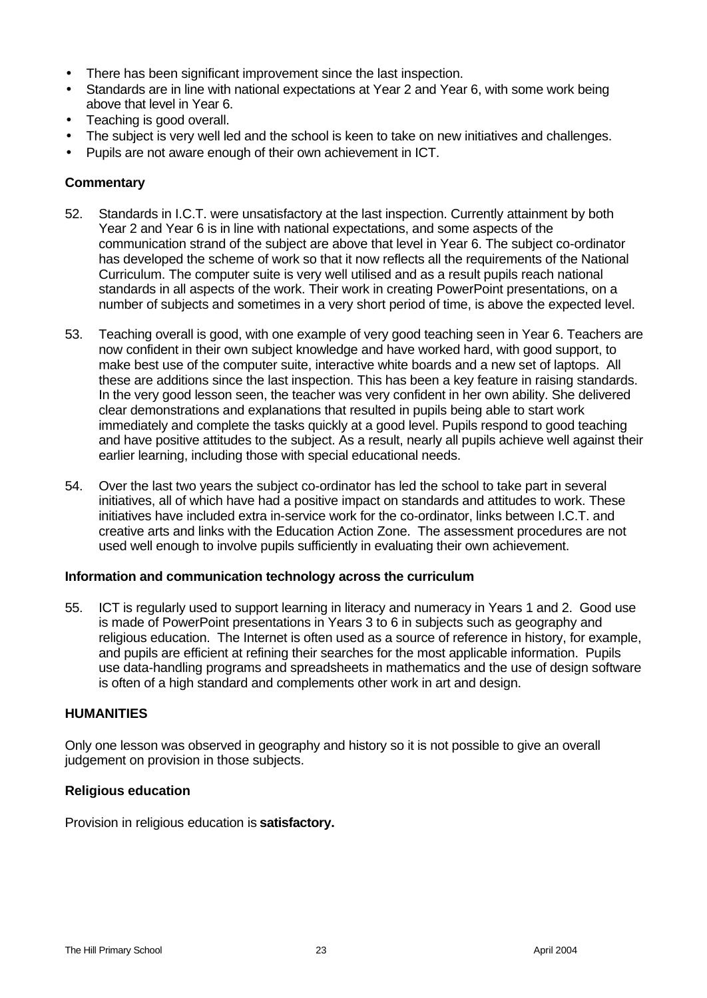- There has been significant improvement since the last inspection.
- Standards are in line with national expectations at Year 2 and Year 6, with some work being above that level in Year 6.
- Teaching is good overall.
- The subject is very well led and the school is keen to take on new initiatives and challenges.
- Pupils are not aware enough of their own achievement in ICT.

- 52. Standards in I.C.T. were unsatisfactory at the last inspection. Currently attainment by both Year 2 and Year 6 is in line with national expectations, and some aspects of the communication strand of the subject are above that level in Year 6. The subject co-ordinator has developed the scheme of work so that it now reflects all the requirements of the National Curriculum. The computer suite is very well utilised and as a result pupils reach national standards in all aspects of the work. Their work in creating PowerPoint presentations, on a number of subjects and sometimes in a very short period of time, is above the expected level.
- 53. Teaching overall is good, with one example of very good teaching seen in Year 6. Teachers are now confident in their own subject knowledge and have worked hard, with good support, to make best use of the computer suite, interactive white boards and a new set of laptops. All these are additions since the last inspection. This has been a key feature in raising standards. In the very good lesson seen, the teacher was very confident in her own ability. She delivered clear demonstrations and explanations that resulted in pupils being able to start work immediately and complete the tasks quickly at a good level. Pupils respond to good teaching and have positive attitudes to the subject. As a result, nearly all pupils achieve well against their earlier learning, including those with special educational needs.
- 54. Over the last two years the subject co-ordinator has led the school to take part in several initiatives, all of which have had a positive impact on standards and attitudes to work. These initiatives have included extra in-service work for the co-ordinator, links between I.C.T. and creative arts and links with the Education Action Zone. The assessment procedures are not used well enough to involve pupils sufficiently in evaluating their own achievement.

#### **Information and communication technology across the curriculum**

55. ICT is regularly used to support learning in literacy and numeracy in Years 1 and 2. Good use is made of PowerPoint presentations in Years 3 to 6 in subjects such as geography and religious education. The Internet is often used as a source of reference in history, for example, and pupils are efficient at refining their searches for the most applicable information. Pupils use data-handling programs and spreadsheets in mathematics and the use of design software is often of a high standard and complements other work in art and design.

#### **HUMANITIES**

Only one lesson was observed in geography and history so it is not possible to give an overall judgement on provision in those subjects.

#### **Religious education**

Provision in religious education is **satisfactory.**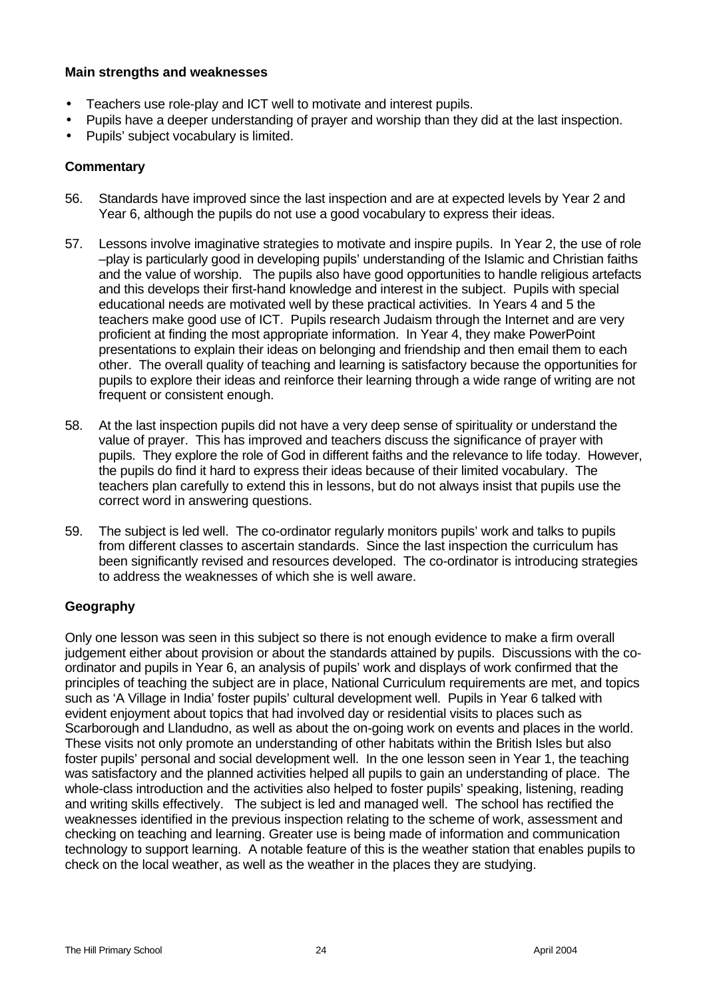#### **Main strengths and weaknesses**

- Teachers use role-play and ICT well to motivate and interest pupils.
- Pupils have a deeper understanding of prayer and worship than they did at the last inspection.
- Pupils' subject vocabulary is limited.

#### **Commentary**

- 56. Standards have improved since the last inspection and are at expected levels by Year 2 and Year 6, although the pupils do not use a good vocabulary to express their ideas.
- 57. Lessons involve imaginative strategies to motivate and inspire pupils. In Year 2, the use of role –play is particularly good in developing pupils' understanding of the Islamic and Christian faiths and the value of worship. The pupils also have good opportunities to handle religious artefacts and this develops their first-hand knowledge and interest in the subject. Pupils with special educational needs are motivated well by these practical activities. In Years 4 and 5 the teachers make good use of ICT. Pupils research Judaism through the Internet and are very proficient at finding the most appropriate information. In Year 4, they make PowerPoint presentations to explain their ideas on belonging and friendship and then email them to each other. The overall quality of teaching and learning is satisfactory because the opportunities for pupils to explore their ideas and reinforce their learning through a wide range of writing are not frequent or consistent enough.
- 58. At the last inspection pupils did not have a very deep sense of spirituality or understand the value of prayer. This has improved and teachers discuss the significance of prayer with pupils. They explore the role of God in different faiths and the relevance to life today. However, the pupils do find it hard to express their ideas because of their limited vocabulary. The teachers plan carefully to extend this in lessons, but do not always insist that pupils use the correct word in answering questions.
- 59. The subject is led well. The co-ordinator regularly monitors pupils' work and talks to pupils from different classes to ascertain standards. Since the last inspection the curriculum has been significantly revised and resources developed. The co-ordinator is introducing strategies to address the weaknesses of which she is well aware.

#### **Geography**

Only one lesson was seen in this subject so there is not enough evidence to make a firm overall judgement either about provision or about the standards attained by pupils. Discussions with the coordinator and pupils in Year 6, an analysis of pupils' work and displays of work confirmed that the principles of teaching the subject are in place, National Curriculum requirements are met, and topics such as 'A Village in India' foster pupils' cultural development well. Pupils in Year 6 talked with evident enjoyment about topics that had involved day or residential visits to places such as Scarborough and Llandudno, as well as about the on-going work on events and places in the world. These visits not only promote an understanding of other habitats within the British Isles but also foster pupils' personal and social development well. In the one lesson seen in Year 1, the teaching was satisfactory and the planned activities helped all pupils to gain an understanding of place. The whole-class introduction and the activities also helped to foster pupils' speaking, listening, reading and writing skills effectively. The subject is led and managed well. The school has rectified the weaknesses identified in the previous inspection relating to the scheme of work, assessment and checking on teaching and learning. Greater use is being made of information and communication technology to support learning. A notable feature of this is the weather station that enables pupils to check on the local weather, as well as the weather in the places they are studying.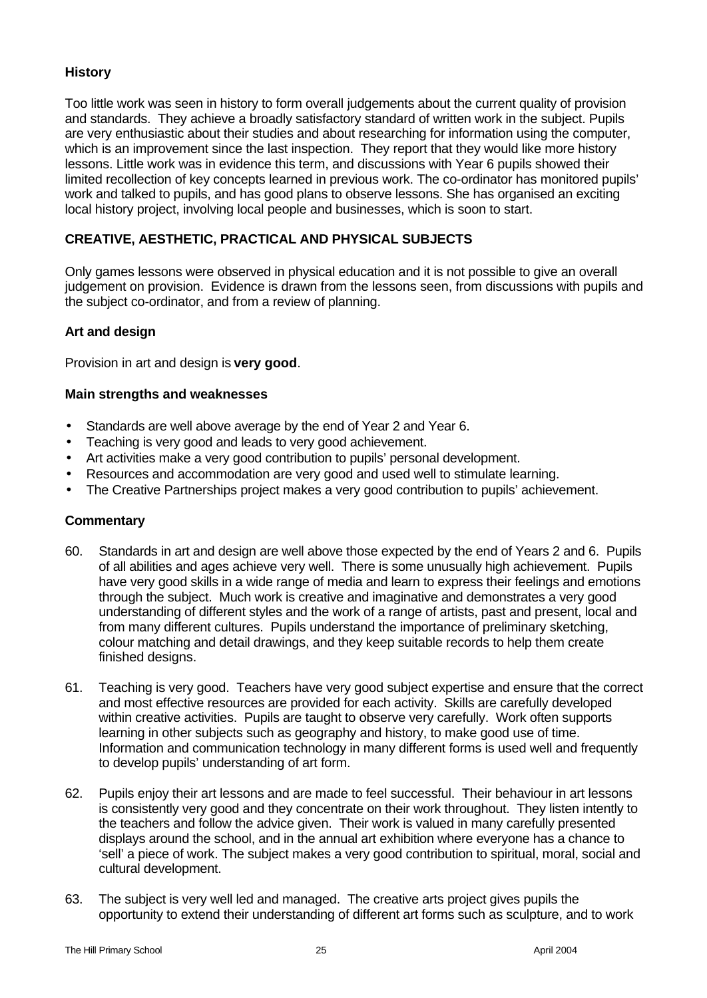## **History**

Too little work was seen in history to form overall judgements about the current quality of provision and standards. They achieve a broadly satisfactory standard of written work in the subject. Pupils are very enthusiastic about their studies and about researching for information using the computer, which is an improvement since the last inspection. They report that they would like more history lessons. Little work was in evidence this term, and discussions with Year 6 pupils showed their limited recollection of key concepts learned in previous work. The co-ordinator has monitored pupils' work and talked to pupils, and has good plans to observe lessons. She has organised an exciting local history project, involving local people and businesses, which is soon to start.

## **CREATIVE, AESTHETIC, PRACTICAL AND PHYSICAL SUBJECTS**

Only games lessons were observed in physical education and it is not possible to give an overall judgement on provision. Evidence is drawn from the lessons seen, from discussions with pupils and the subject co-ordinator, and from a review of planning.

#### **Art and design**

Provision in art and design is **very good**.

#### **Main strengths and weaknesses**

- Standards are well above average by the end of Year 2 and Year 6.
- Teaching is very good and leads to very good achievement.
- Art activities make a very good contribution to pupils' personal development.
- Resources and accommodation are very good and used well to stimulate learning.
- The Creative Partnerships project makes a very good contribution to pupils' achievement.

- 60. Standards in art and design are well above those expected by the end of Years 2 and 6. Pupils of all abilities and ages achieve very well. There is some unusually high achievement. Pupils have very good skills in a wide range of media and learn to express their feelings and emotions through the subject. Much work is creative and imaginative and demonstrates a very good understanding of different styles and the work of a range of artists, past and present, local and from many different cultures. Pupils understand the importance of preliminary sketching, colour matching and detail drawings, and they keep suitable records to help them create finished designs.
- 61. Teaching is very good. Teachers have very good subject expertise and ensure that the correct and most effective resources are provided for each activity. Skills are carefully developed within creative activities. Pupils are taught to observe very carefully. Work often supports learning in other subjects such as geography and history, to make good use of time. Information and communication technology in many different forms is used well and frequently to develop pupils' understanding of art form.
- 62. Pupils enjoy their art lessons and are made to feel successful. Their behaviour in art lessons is consistently very good and they concentrate on their work throughout. They listen intently to the teachers and follow the advice given. Their work is valued in many carefully presented displays around the school, and in the annual art exhibition where everyone has a chance to 'sell' a piece of work. The subject makes a very good contribution to spiritual, moral, social and cultural development.
- 63. The subject is very well led and managed. The creative arts project gives pupils the opportunity to extend their understanding of different art forms such as sculpture, and to work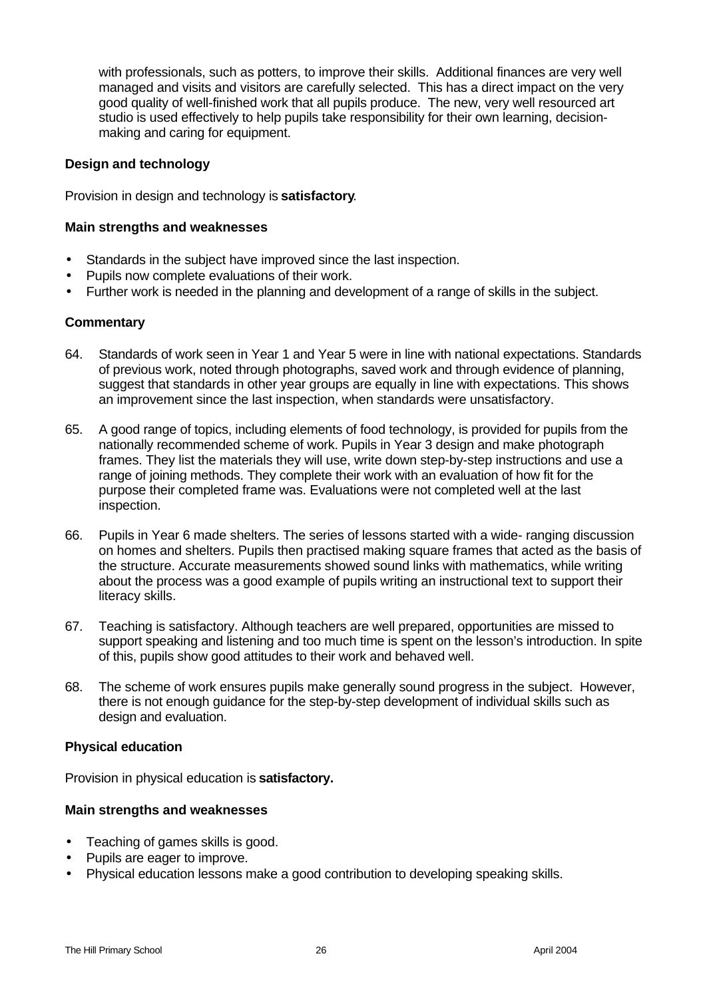with professionals, such as potters, to improve their skills. Additional finances are very well managed and visits and visitors are carefully selected. This has a direct impact on the very good quality of well-finished work that all pupils produce. The new, very well resourced art studio is used effectively to help pupils take responsibility for their own learning, decisionmaking and caring for equipment.

### **Design and technology**

Provision in design and technology is **satisfactory**.

#### **Main strengths and weaknesses**

- Standards in the subject have improved since the last inspection.
- Pupils now complete evaluations of their work.
- Further work is needed in the planning and development of a range of skills in the subject.

#### **Commentary**

- 64. Standards of work seen in Year 1 and Year 5 were in line with national expectations. Standards of previous work, noted through photographs, saved work and through evidence of planning, suggest that standards in other year groups are equally in line with expectations. This shows an improvement since the last inspection, when standards were unsatisfactory.
- 65. A good range of topics, including elements of food technology, is provided for pupils from the nationally recommended scheme of work. Pupils in Year 3 design and make photograph frames. They list the materials they will use, write down step-by-step instructions and use a range of joining methods. They complete their work with an evaluation of how fit for the purpose their completed frame was. Evaluations were not completed well at the last inspection.
- 66. Pupils in Year 6 made shelters. The series of lessons started with a wide- ranging discussion on homes and shelters. Pupils then practised making square frames that acted as the basis of the structure. Accurate measurements showed sound links with mathematics, while writing about the process was a good example of pupils writing an instructional text to support their literacy skills.
- 67. Teaching is satisfactory. Although teachers are well prepared, opportunities are missed to support speaking and listening and too much time is spent on the lesson's introduction. In spite of this, pupils show good attitudes to their work and behaved well.
- 68. The scheme of work ensures pupils make generally sound progress in the subject. However, there is not enough guidance for the step-by-step development of individual skills such as design and evaluation.

#### **Physical education**

Provision in physical education is **satisfactory.**

- Teaching of games skills is good.
- Pupils are eager to improve.
- Physical education lessons make a good contribution to developing speaking skills.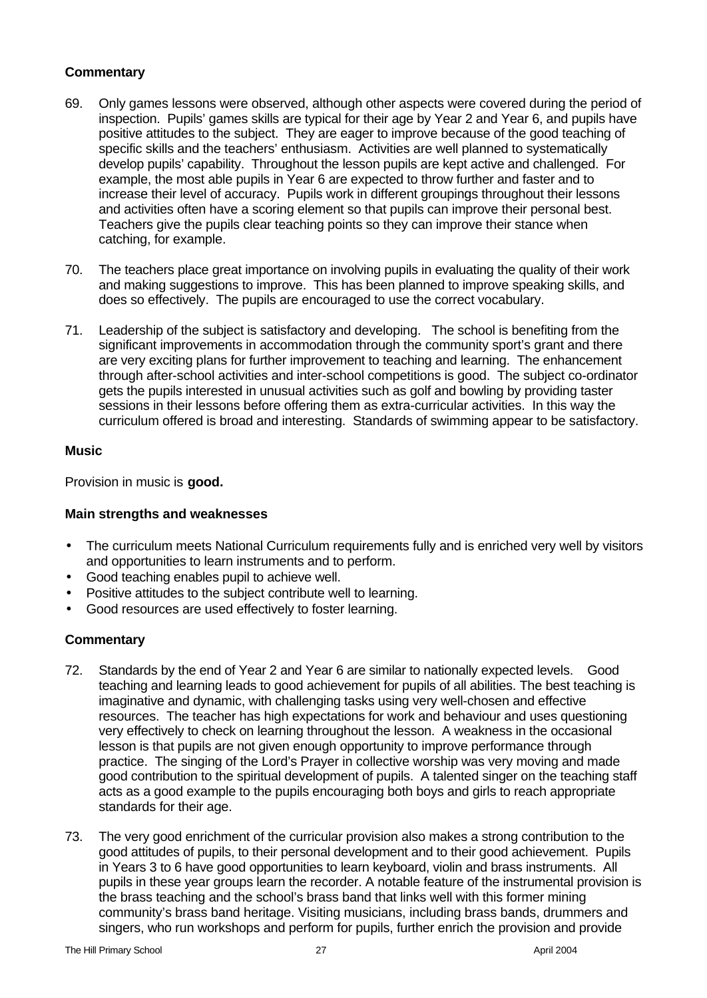- 69. Only games lessons were observed, although other aspects were covered during the period of inspection. Pupils' games skills are typical for their age by Year 2 and Year 6, and pupils have positive attitudes to the subject. They are eager to improve because of the good teaching of specific skills and the teachers' enthusiasm. Activities are well planned to systematically develop pupils' capability. Throughout the lesson pupils are kept active and challenged. For example, the most able pupils in Year 6 are expected to throw further and faster and to increase their level of accuracy. Pupils work in different groupings throughout their lessons and activities often have a scoring element so that pupils can improve their personal best. Teachers give the pupils clear teaching points so they can improve their stance when catching, for example.
- 70. The teachers place great importance on involving pupils in evaluating the quality of their work and making suggestions to improve. This has been planned to improve speaking skills, and does so effectively. The pupils are encouraged to use the correct vocabulary.
- 71. Leadership of the subject is satisfactory and developing. The school is benefiting from the significant improvements in accommodation through the community sport's grant and there are very exciting plans for further improvement to teaching and learning. The enhancement through after-school activities and inter-school competitions is good. The subject co-ordinator gets the pupils interested in unusual activities such as golf and bowling by providing taster sessions in their lessons before offering them as extra-curricular activities. In this way the curriculum offered is broad and interesting. Standards of swimming appear to be satisfactory.

## **Music**

Provision in music is **good.**

#### **Main strengths and weaknesses**

- The curriculum meets National Curriculum requirements fully and is enriched very well by visitors and opportunities to learn instruments and to perform.
- Good teaching enables pupil to achieve well.
- Positive attitudes to the subject contribute well to learning.
- Good resources are used effectively to foster learning.

- 72. Standards by the end of Year 2 and Year 6 are similar to nationally expected levels. Good teaching and learning leads to good achievement for pupils of all abilities. The best teaching is imaginative and dynamic, with challenging tasks using very well-chosen and effective resources. The teacher has high expectations for work and behaviour and uses questioning very effectively to check on learning throughout the lesson. A weakness in the occasional lesson is that pupils are not given enough opportunity to improve performance through practice. The singing of the Lord's Prayer in collective worship was very moving and made good contribution to the spiritual development of pupils. A talented singer on the teaching staff acts as a good example to the pupils encouraging both boys and girls to reach appropriate standards for their age.
- 73. The very good enrichment of the curricular provision also makes a strong contribution to the good attitudes of pupils, to their personal development and to their good achievement. Pupils in Years 3 to 6 have good opportunities to learn keyboard, violin and brass instruments. All pupils in these year groups learn the recorder. A notable feature of the instrumental provision is the brass teaching and the school's brass band that links well with this former mining community's brass band heritage. Visiting musicians, including brass bands, drummers and singers, who run workshops and perform for pupils, further enrich the provision and provide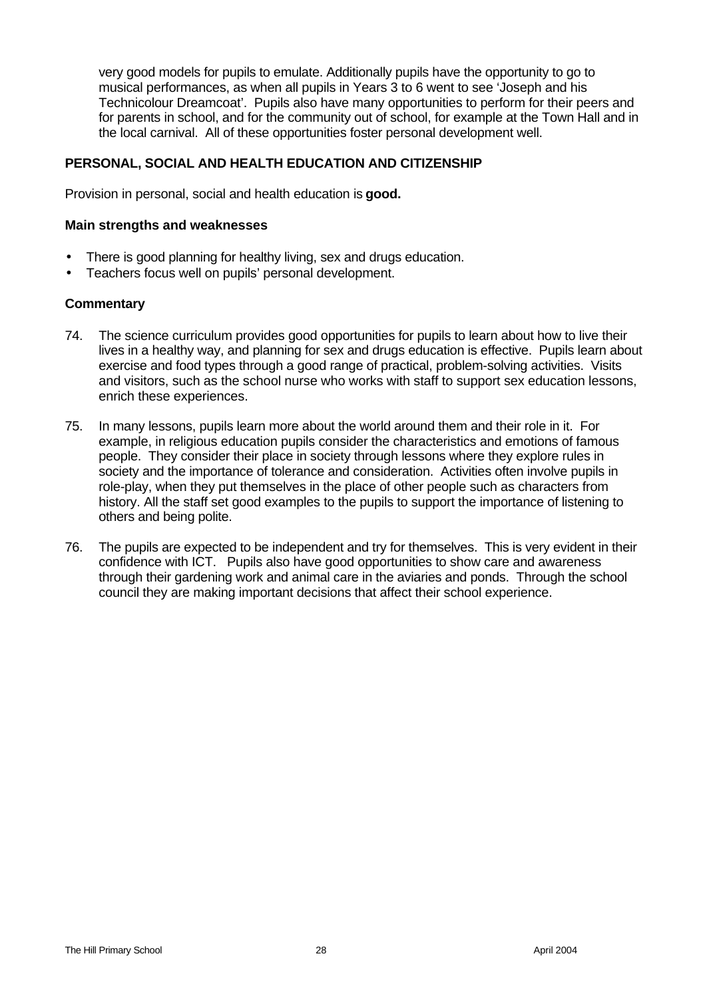very good models for pupils to emulate. Additionally pupils have the opportunity to go to musical performances, as when all pupils in Years 3 to 6 went to see 'Joseph and his Technicolour Dreamcoat'. Pupils also have many opportunities to perform for their peers and for parents in school, and for the community out of school, for example at the Town Hall and in the local carnival. All of these opportunities foster personal development well.

## **PERSONAL, SOCIAL AND HEALTH EDUCATION AND CITIZENSHIP**

Provision in personal, social and health education is **good.**

#### **Main strengths and weaknesses**

- There is good planning for healthy living, sex and drugs education.
- Teachers focus well on pupils' personal development.

- 74. The science curriculum provides good opportunities for pupils to learn about how to live their lives in a healthy way, and planning for sex and drugs education is effective. Pupils learn about exercise and food types through a good range of practical, problem-solving activities. Visits and visitors, such as the school nurse who works with staff to support sex education lessons, enrich these experiences.
- 75. In many lessons, pupils learn more about the world around them and their role in it. For example, in religious education pupils consider the characteristics and emotions of famous people. They consider their place in society through lessons where they explore rules in society and the importance of tolerance and consideration. Activities often involve pupils in role-play, when they put themselves in the place of other people such as characters from history. All the staff set good examples to the pupils to support the importance of listening to others and being polite.
- 76. The pupils are expected to be independent and try for themselves. This is very evident in their confidence with ICT. Pupils also have good opportunities to show care and awareness through their gardening work and animal care in the aviaries and ponds. Through the school council they are making important decisions that affect their school experience.